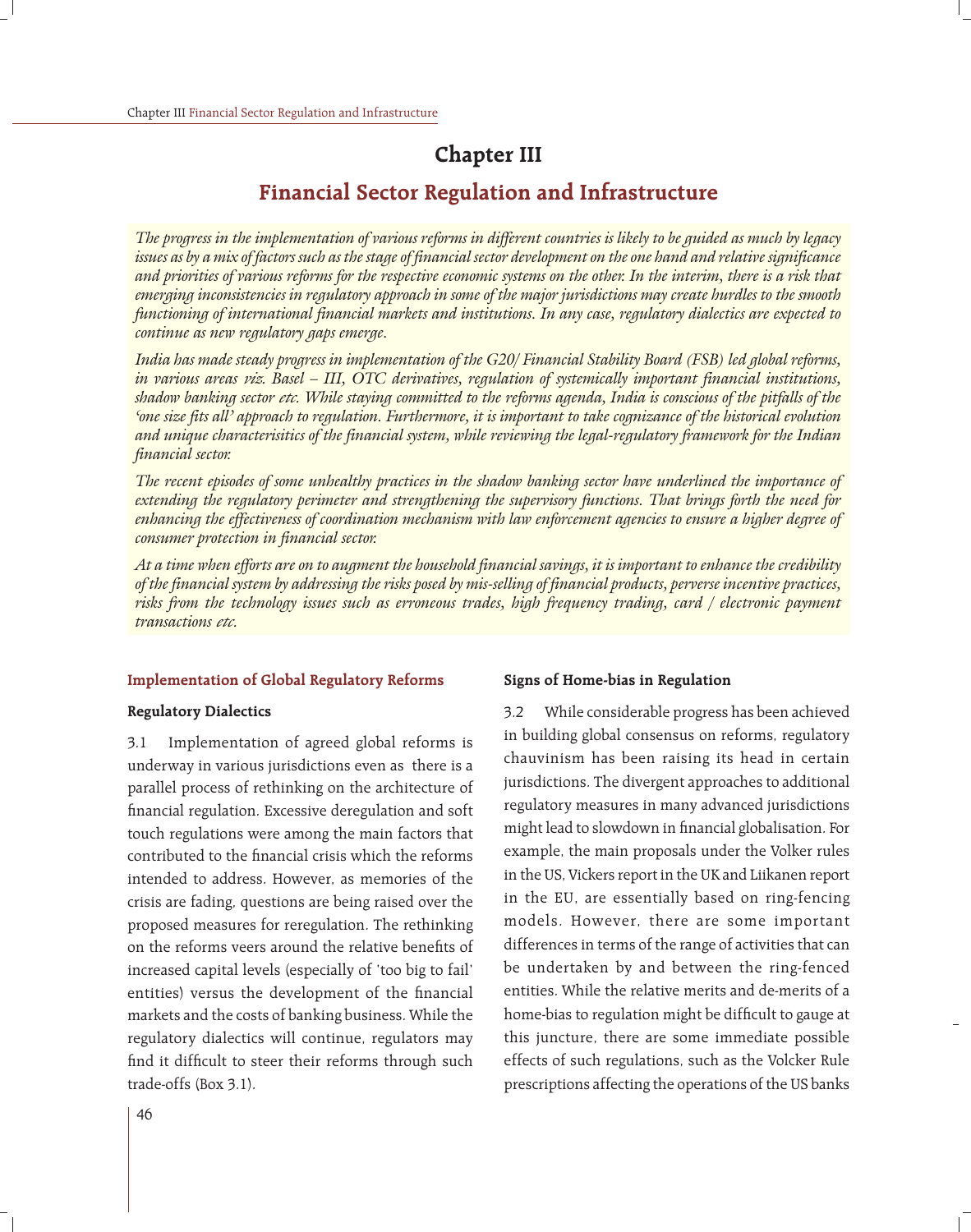# **Chapter III**

# **Financial Sector Regulation and Infrastructure**

*The progress in the implementation of various reforms in different countries is likely to be guided as much by legacy issues as by a mix of factors such as the stage of financial sector development on the one hand and relative significance and priorities of various reforms for the respective economic systems on the other. In the interim, there is a risk that emerging inconsistencies in regulatory approach in some of the major jurisdictions may create hurdles to the smooth functioning of international financial markets and institutions. In any case, regulatory dialectics are expected to continue as new regulatory gaps emerge.*

*India has made steady progress in implementation of the G20/ Financial Stability Board (FSB) led global reforms, in various areas viz. Basel – III, OTC derivatives, regulation of systemically important financial institutions, shadow banking sector etc. While staying committed to the reforms agenda, India is conscious of the pitfalls of the 'one size fits all' approach to regulation. Furthermore, it is important to take cognizance of the historical evolution and unique characterisitics of the financial system, while reviewing the legal-regulatory framework for the Indian financial sector.*

*The recent episodes of some unhealthy practices in the shadow banking sector have underlined the importance of extending the regulatory perimeter and strengthening the supervisory functions. That brings forth the need for enhancing the effectiveness of coordination mechanism with law enforcement agencies to ensure a higher degree of consumer protection in financial sector.*

*At a time when efforts are on to augment the household financial savings, it is important to enhance the credibility of the financial system by addressing the risks posed by mis-selling of financial products, perverse incentive practices, risks from the technology issues such as erroneous trades, high frequency trading, card / electronic payment transactions etc.*

#### **Implementation of Global Regulatory Reforms**

#### **Regulatory Dialectics**

3.1 Implementation of agreed global reforms is underway in various jurisdictions even as there is a parallel process of rethinking on the architecture of financial regulation. Excessive deregulation and soft touch regulations were among the main factors that contributed to the financial crisis which the reforms intended to address. However, as memories of the crisis are fading, questions are being raised over the proposed measures for reregulation. The rethinking on the reforms veers around the relative benefits of increased capital levels (especially of 'too big to fail' entities) versus the development of the financial markets and the costs of banking business. While the regulatory dialectics will continue, regulators may find it difficult to steer their reforms through such trade-offs (Box 3.1).

#### **Signs of Home-bias in Regulation**

3.2 While considerable progress has been achieved in building global consensus on reforms, regulatory chauvinism has been raising its head in certain jurisdictions. The divergent approaches to additional regulatory measures in many advanced jurisdictions might lead to slowdown in financial globalisation. For example, the main proposals under the Volker rules in the US, Vickers report in the UK and Liikanen report in the EU, are essentially based on ring-fencing models. However, there are some important differences in terms of the range of activities that can be undertaken by and between the ring-fenced entities. While the relative merits and de-merits of a home-bias to regulation might be difficult to gauge at this juncture, there are some immediate possible effects of such regulations, such as the Volcker Rule prescriptions affecting the operations of the US banks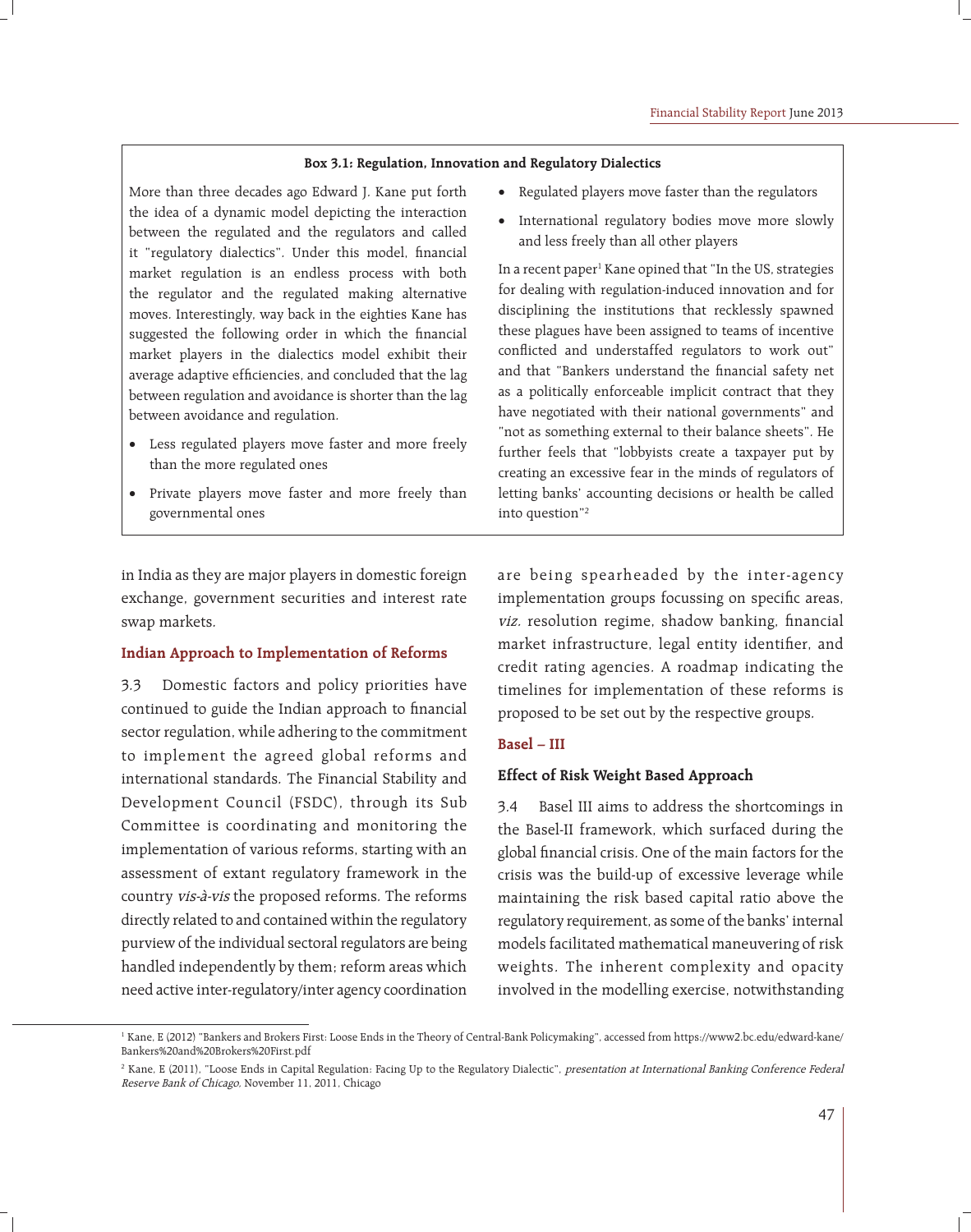#### **Box 3.1: Regulation, Innovation and Regulatory Dialectics**

More than three decades ago Edward J. Kane put forth the idea of a dynamic model depicting the interaction between the regulated and the regulators and called it "regulatory dialectics". Under this model, financial market regulation is an endless process with both the regulator and the regulated making alternative moves. Interestingly, way back in the eighties Kane has suggested the following order in which the financial market players in the dialectics model exhibit their average adaptive efficiencies, and concluded that the lag between regulation and avoidance is shorter than the lag between avoidance and regulation.

- Less regulated players move faster and more freely than the more regulated ones
- Private players move faster and more freely than governmental ones
- Regulated players move faster than the regulators
- International regulatory bodies move more slowly and less freely than all other players

In a recent paper<sup>1</sup> Kane opined that "In the US, strategies for dealing with regulation-induced innovation and for disciplining the institutions that recklessly spawned these plagues have been assigned to teams of incentive conflicted and understaffed regulators to work out" and that "Bankers understand the financial safety net as a politically enforceable implicit contract that they have negotiated with their national governments" and "not as something external to their balance sheets". He further feels that "lobbyists create a taxpayer put by creating an excessive fear in the minds of regulators of letting banks' accounting decisions or health be called into question"2

in India as they are major players in domestic foreign exchange, government securities and interest rate swap markets.

#### **Indian Approach to Implementation of Reforms**

3.3 Domestic factors and policy priorities have continued to guide the Indian approach to financial sector regulation, while adhering to the commitment to implement the agreed global reforms and international standards. The Financial Stability and Development Council (FSDC), through its Sub Committee is coordinating and monitoring the implementation of various reforms, starting with an assessment of extant regulatory framework in the country vis-à-vis the proposed reforms. The reforms directly related to and contained within the regulatory purview of the individual sectoral regulators are being handled independently by them; reform areas which need active inter-regulatory/inter agency coordination

are being spearheaded by the inter-agency implementation groups focussing on specific areas, viz. resolution regime, shadow banking, financial market infrastructure, legal entity identifier, and credit rating agencies. A roadmap indicating the timelines for implementation of these reforms is proposed to be set out by the respective groups.

### **Basel – III**

#### **Effect of Risk Weight Based Approach**

3.4 Basel III aims to address the shortcomings in the Basel-II framework, which surfaced during the global financial crisis. One of the main factors for the crisis was the build-up of excessive leverage while maintaining the risk based capital ratio above the regulatory requirement, as some of the banks' internal models facilitated mathematical maneuvering of risk weights. The inherent complexity and opacity involved in the modelling exercise, notwithstanding

<sup>1</sup> Kane, E (2012) "Bankers and Brokers First: Loose Ends in the Theory of Central-Bank Policymaking", accessed from https://www2.bc.edu/edward-kane/ Bankers%20and%20Brokers%20First.pdf

<sup>&</sup>lt;sup>2</sup> Kane, E (2011), "Loose Ends in Capital Regulation: Facing Up to the Regulatory Dialectic", presentation at International Banking Conference Federal Reserve Bank of Chicago, November 11, 2011, Chicago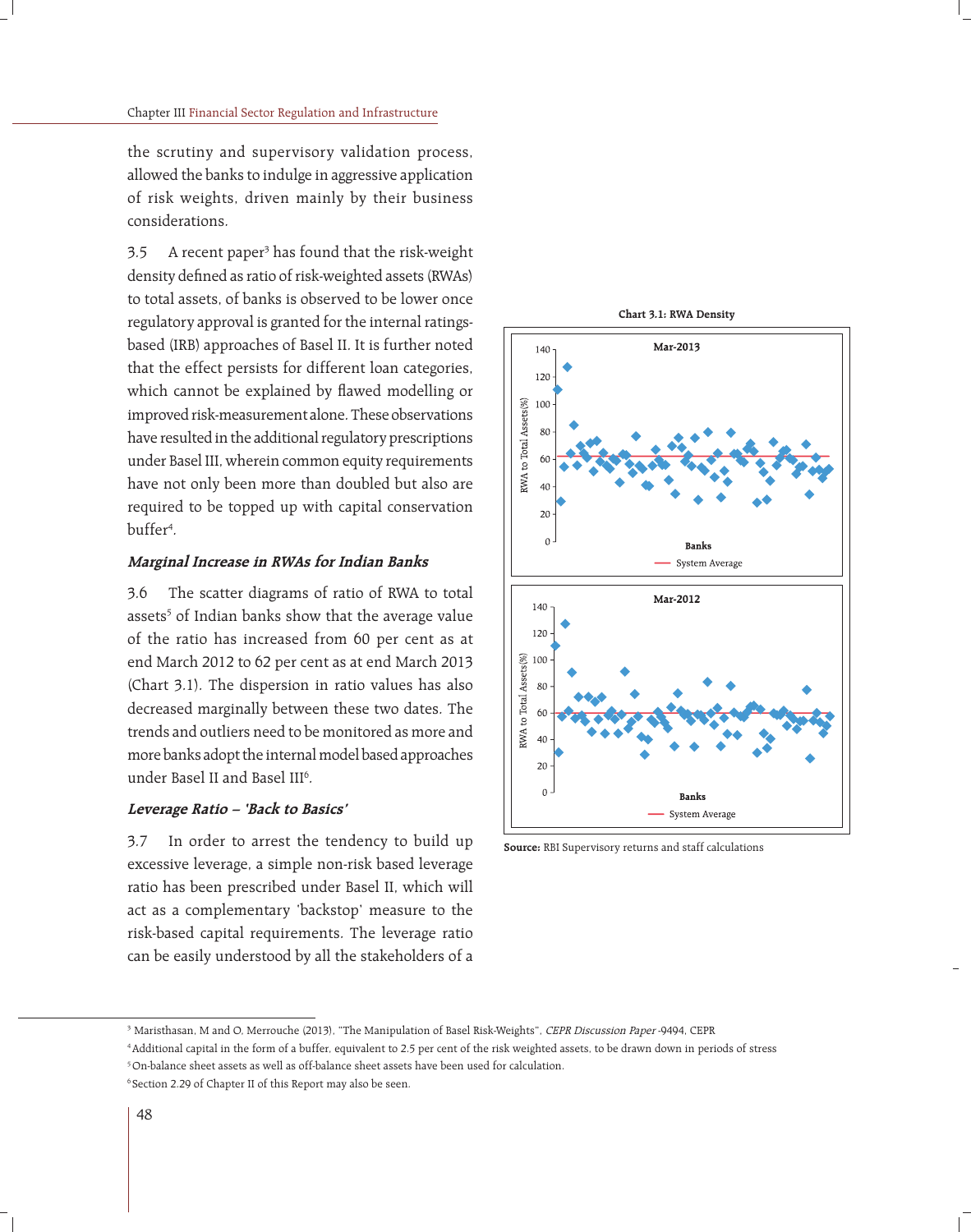the scrutiny and supervisory validation process, allowed the banks to indulge in aggressive application of risk weights, driven mainly by their business considerations.

3.5 A recent paper<sup>3</sup> has found that the risk-weight density defined as ratio of risk-weighted assets (RWAs) to total assets, of banks is observed to be lower once regulatory approval is granted for the internal ratingsbased (IRB) approaches of Basel II. It is further noted that the effect persists for different loan categories, which cannot be explained by flawed modelling or improved risk-measurement alone. These observations have resulted in the additional regulatory prescriptions under Basel III, wherein common equity requirements have not only been more than doubled but also are required to be topped up with capital conservation buffer<sup>4</sup>.

#### **Marginal Increase in RWAs for Indian Banks**

3.6 The scatter diagrams of ratio of RWA to total assets<sup>5</sup> of Indian banks show that the average value of the ratio has increased from 60 per cent as at end March 2012 to 62 per cent as at end March 2013 (Chart 3.1). The dispersion in ratio values has also decreased marginally between these two dates. The trends and outliers need to be monitored as more and more banks adopt the internal model based approaches under Basel II and Basel III<sup>6</sup>.

#### **Leverage Ratio – 'Back to Basics'**

3.7 In order to arrest the tendency to build up excessive leverage, a simple non-risk based leverage ratio has been prescribed under Basel II, which will act as a complementary 'backstop' measure to the risk-based capital requirements. The leverage ratio can be easily understood by all the stakeholders of a



**Chart 3.1: RWA Density**

**Source:** RBI Supervisory returns and staff calculations

<sup>&</sup>lt;sup>3</sup> Maristhasan, M and O, Merrouche (2013), "The Manipulation of Basel Risk-Weights", CEPR Discussion Paper -9494, CEPR

<sup>4</sup> Additional capital in the form of a buffer, equivalent to 2.5 per cent of the risk weighted assets, to be drawn down in periods of stress 5 On-balance sheet assets as well as off-balance sheet assets have been used for calculation.

<sup>6</sup> Section 2.29 of Chapter II of this Report may also be seen.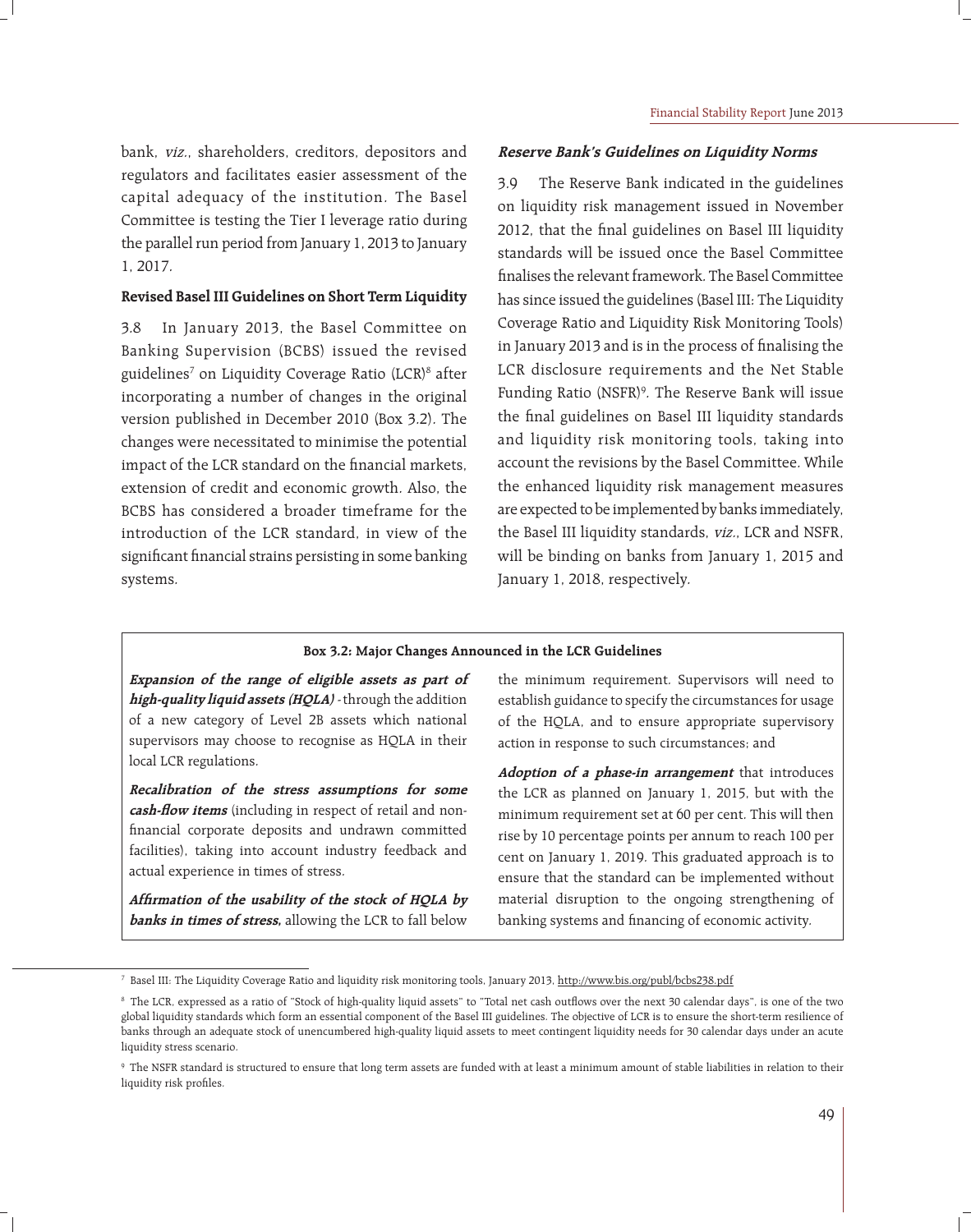bank, viz., shareholders, creditors, depositors and regulators and facilitates easier assessment of the capital adequacy of the institution. The Basel Committee is testing the Tier I leverage ratio during the parallel run period from January 1, 2013 to January 1, 2017.

### **Revised Basel III Guidelines on Short Term Liquidity**

3.8 In January 2013, the Basel Committee on Banking Supervision (BCBS) issued the revised guidelines<sup>7</sup> on Liquidity Coverage Ratio (LCR)<sup>8</sup> after incorporating a number of changes in the original version published in December 2010 (Box 3.2). The changes were necessitated to minimise the potential impact of the LCR standard on the financial markets, extension of credit and economic growth. Also, the BCBS has considered a broader timeframe for the introduction of the LCR standard, in view of the significant financial strains persisting in some banking systems.

#### **Reserve Bank's Guidelines on Liquidity Norms**

3.9 The Reserve Bank indicated in the guidelines on liquidity risk management issued in November 2012, that the final guidelines on Basel III liquidity standards will be issued once the Basel Committee finalises the relevant framework. The Basel Committee has since issued the guidelines (Basel III: The Liquidity Coverage Ratio and Liquidity Risk Monitoring Tools) in January 2013 and is in the process of finalising the LCR disclosure requirements and the Net Stable Funding Ratio (NSFR)<sup>9</sup>. The Reserve Bank will issue the final guidelines on Basel III liquidity standards and liquidity risk monitoring tools, taking into account the revisions by the Basel Committee. While the enhanced liquidity risk management measures are expected to be implemented by banks immediately, the Basel III liquidity standards, viz., LCR and NSFR, will be binding on banks from January 1, 2015 and January 1, 2018, respectively.

#### **Box 3.2: Major Changes Announced in the LCR Guidelines**

**Expansion of the range of eligible assets as part of high-quality liquid assets (HQLA)** - through the addition of a new category of Level 2B assets which national supervisors may choose to recognise as HQLA in their local LCR regulations.

**Recalibration of the stress assumptions for some**  cash-flow items (including in respect of retail and nonfinancial corporate deposits and undrawn committed facilities), taking into account industry feedback and actual experience in times of stress.

Affirmation of the usability of the stock of HQLA by **banks in times of stress,** allowing the LCR to fall below

the minimum requirement. Supervisors will need to establish guidance to specify the circumstances for usage of the HQLA, and to ensure appropriate supervisory action in response to such circumstances; and

**Adoption of a phase-in arrangement** that introduces the LCR as planned on January 1, 2015, but with the minimum requirement set at 60 per cent. This will then rise by 10 percentage points per annum to reach 100 per cent on January 1, 2019. This graduated approach is to ensure that the standard can be implemented without material disruption to the ongoing strengthening of banking systems and financing of economic activity.

<sup>&</sup>lt;sup>7</sup> Basel III: The Liquidity Coverage Ratio and liquidity risk monitoring tools, January 2013, <u>http://www.bis.org/publ/bcbs238.pdf</u>

<sup>&</sup>lt;sup>8</sup> The LCR, expressed as a ratio of "Stock of high-quality liquid assets" to "Total net cash outflows over the next 30 calendar days", is one of the two global liquidity standards which form an essential component of the Basel III guidelines. The objective of LCR is to ensure the short-term resilience of banks through an adequate stock of unencumbered high-quality liquid assets to meet contingent liquidity needs for 30 calendar days under an acute liquidity stress scenario.

<sup>9</sup> The NSFR standard is structured to ensure that long term assets are funded with at least a minimum amount of stable liabilities in relation to their liquidity risk profiles.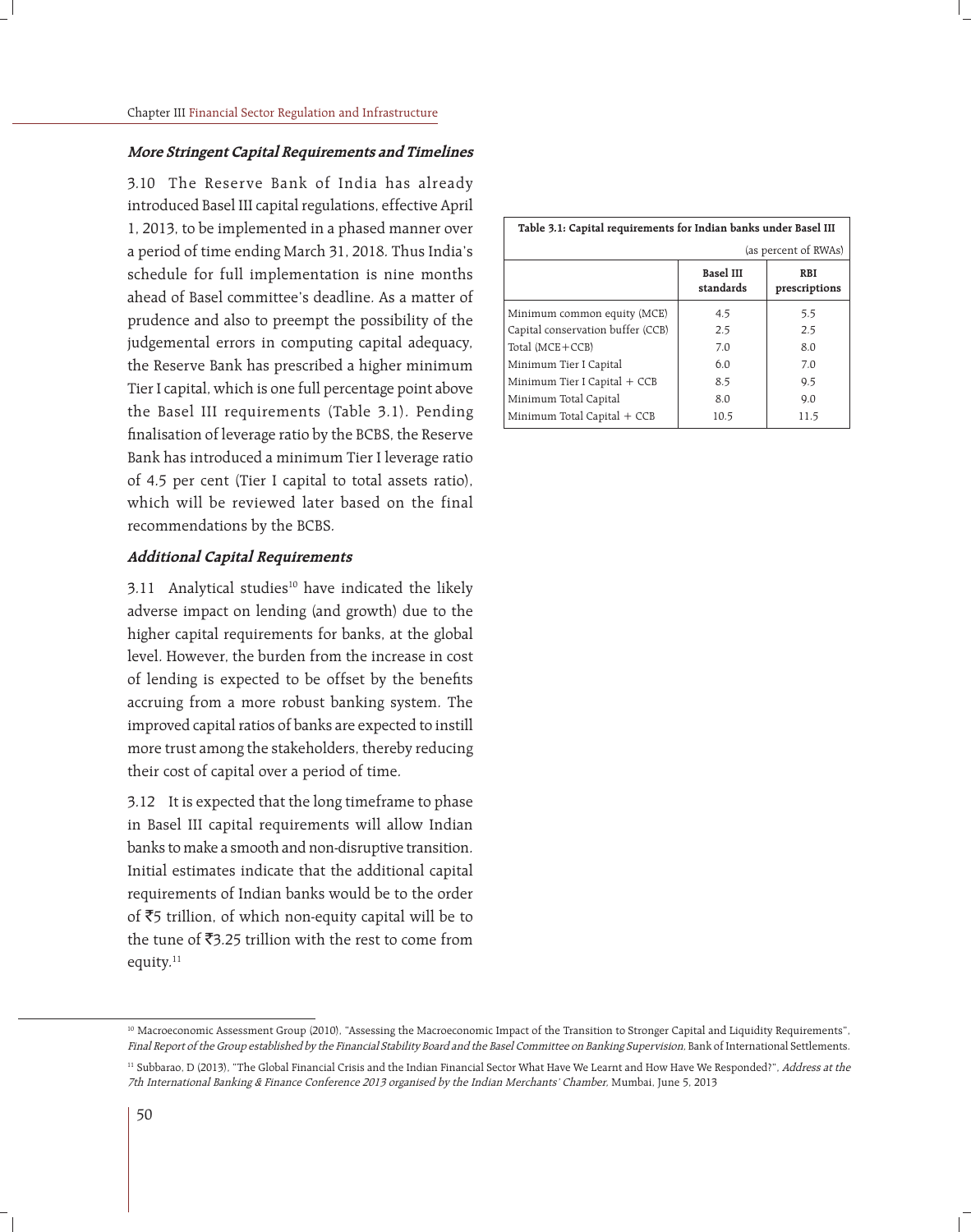#### **More Stringent Capital Requirements and Timelines**

3.10 The Reserve Bank of India has already introduced Basel III capital regulations, effective April 1, 2013, to be implemented in a phased manner over a period of time ending March 31, 2018. Thus India's schedule for full implementation is nine months ahead of Basel committee's deadline. As a matter of prudence and also to preempt the possibility of the judgemental errors in computing capital adequacy, the Reserve Bank has prescribed a higher minimum Tier I capital, which is one full percentage point above the Basel III requirements (Table 3.1). Pending finalisation of leverage ratio by the BCBS, the Reserve Bank has introduced a minimum Tier I leverage ratio of 4.5 per cent (Tier I capital to total assets ratio), which will be reviewed later based on the final recommendations by the BCBS.

#### **Additional Capital Requirements**

 $3.11$  Analytical studies<sup>10</sup> have indicated the likely adverse impact on lending (and growth) due to the higher capital requirements for banks, at the global level. However, the burden from the increase in cost of lending is expected to be offset by the benefits accruing from a more robust banking system. The improved capital ratios of banks are expected to instill more trust among the stakeholders, thereby reducing their cost of capital over a period of time.

3.12 It is expected that the long timeframe to phase in Basel III capital requirements will allow Indian banks to make a smooth and non-disruptive transition. Initial estimates indicate that the additional capital requirements of Indian banks would be to the order of  $\overline{5}5$  trillion, of which non-equity capital will be to the tune of  $\bar{z}$ 3.25 trillion with the rest to come from equity.<sup>11</sup>

| Table 3.1: Capital requirements for Indian banks under Basel III |                               |                             |  |  |  |  |
|------------------------------------------------------------------|-------------------------------|-----------------------------|--|--|--|--|
| (as percent of RWAs)                                             |                               |                             |  |  |  |  |
|                                                                  | <b>Basel III</b><br>standards | <b>RBI</b><br>prescriptions |  |  |  |  |
| Minimum common equity (MCE)                                      | 4.5                           | 5.5                         |  |  |  |  |
| Capital conservation buffer (CCB)                                | 2.5                           | 2.5                         |  |  |  |  |
| Total (MCE+CCB)                                                  | 7.0                           | 8.0                         |  |  |  |  |
| Minimum Tier I Capital                                           | 6.0                           | 7.0                         |  |  |  |  |
| Minimum Tier I Capital + CCB                                     | 8.5                           | 9.5                         |  |  |  |  |
| Minimum Total Capital                                            | 8.0                           | 9.0                         |  |  |  |  |
| Minimum Total Capital + CCB                                      | 10.5                          | 11.5                        |  |  |  |  |

<sup>10</sup> Macroeconomic Assessment Group (2010), "Assessing the Macroeconomic Impact of the Transition to Stronger Capital and Liquidity Requirements", Final Report of the Group established by the Financial Stability Board and the Basel Committee on Banking Supervision, Bank of International Settlements.

<sup>&</sup>lt;sup>11</sup> Subbarao, D (2013), "The Global Financial Crisis and the Indian Financial Sector What Have We Learnt and How Have We Responded?", Address at the 7th International Banking & Finance Conference 2013 organised by the Indian Merchants' Chamber, Mumbai, June 5, 2013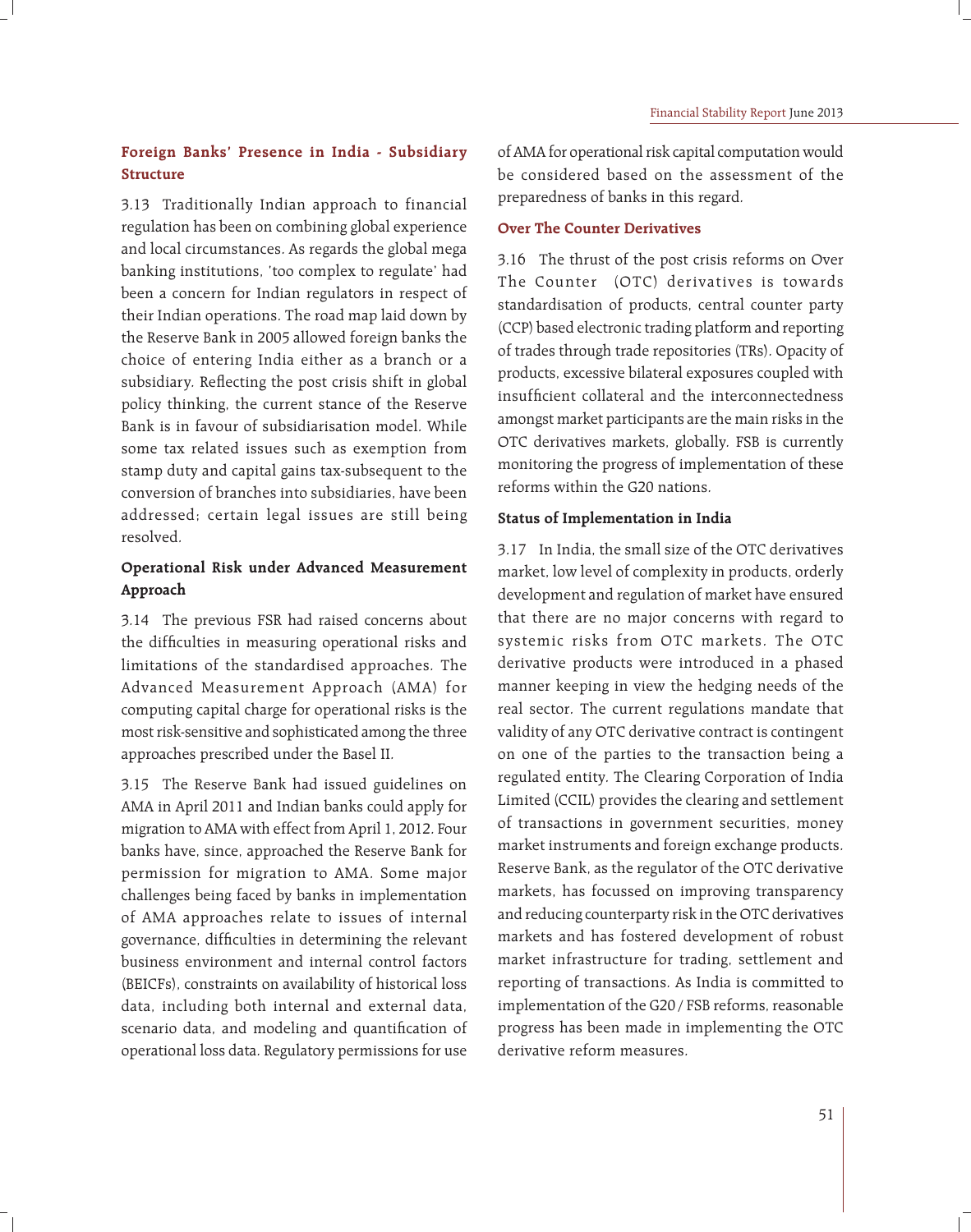## **Foreign Banks' Presence in India - Subsidiary Structure**

3.13 Traditionally Indian approach to financial regulation has been on combining global experience and local circumstances. As regards the global mega banking institutions, 'too complex to regulate' had been a concern for Indian regulators in respect of their Indian operations. The road map laid down by the Reserve Bank in 2005 allowed foreign banks the choice of entering India either as a branch or a subsidiary. Reflecting the post crisis shift in global policy thinking, the current stance of the Reserve Bank is in favour of subsidiarisation model. While some tax related issues such as exemption from stamp duty and capital gains tax-subsequent to the conversion of branches into subsidiaries, have been addressed; certain legal issues are still being resolved.

## **Operational Risk under Advanced Measurement Approach**

3.14 The previous FSR had raised concerns about the difficulties in measuring operational risks and limitations of the standardised approaches. The Advanced Measurement Approach (AMA) for computing capital charge for operational risks is the most risk-sensitive and sophisticated among the three approaches prescribed under the Basel II.

3.15 The Reserve Bank had issued guidelines on AMA in April 2011 and Indian banks could apply for migration to AMA with effect from April 1, 2012. Four banks have, since, approached the Reserve Bank for permission for migration to AMA. Some major challenges being faced by banks in implementation of AMA approaches relate to issues of internal governance, difficulties in determining the relevant business environment and internal control factors (BEICFs), constraints on availability of historical loss data, including both internal and external data, scenario data, and modeling and quantification of operational loss data. Regulatory permissions for use of AMA for operational risk capital computation would be considered based on the assessment of the preparedness of banks in this regard.

### **Over The Counter Derivatives**

3.16 The thrust of the post crisis reforms on Over The Counter (OTC) derivatives is towards standardisation of products, central counter party (CCP) based electronic trading platform and reporting of trades through trade repositories (TRs). Opacity of products, excessive bilateral exposures coupled with insufficient collateral and the interconnectedness amongst market participants are the main risks in the OTC derivatives markets, globally. FSB is currently monitoring the progress of implementation of these reforms within the G20 nations.

### **Status of Implementation in India**

3.17 In India, the small size of the OTC derivatives market, low level of complexity in products, orderly development and regulation of market have ensured that there are no major concerns with regard to systemic risks from OTC markets. The OTC derivative products were introduced in a phased manner keeping in view the hedging needs of the real sector. The current regulations mandate that validity of any OTC derivative contract is contingent on one of the parties to the transaction being a regulated entity. The Clearing Corporation of India Limited (CCIL) provides the clearing and settlement of transactions in government securities, money market instruments and foreign exchange products. Reserve Bank, as the regulator of the OTC derivative markets, has focussed on improving transparency and reducing counterparty risk in the OTC derivatives markets and has fostered development of robust market infrastructure for trading, settlement and reporting of transactions. As India is committed to implementation of the G20 / FSB reforms, reasonable progress has been made in implementing the OTC derivative reform measures.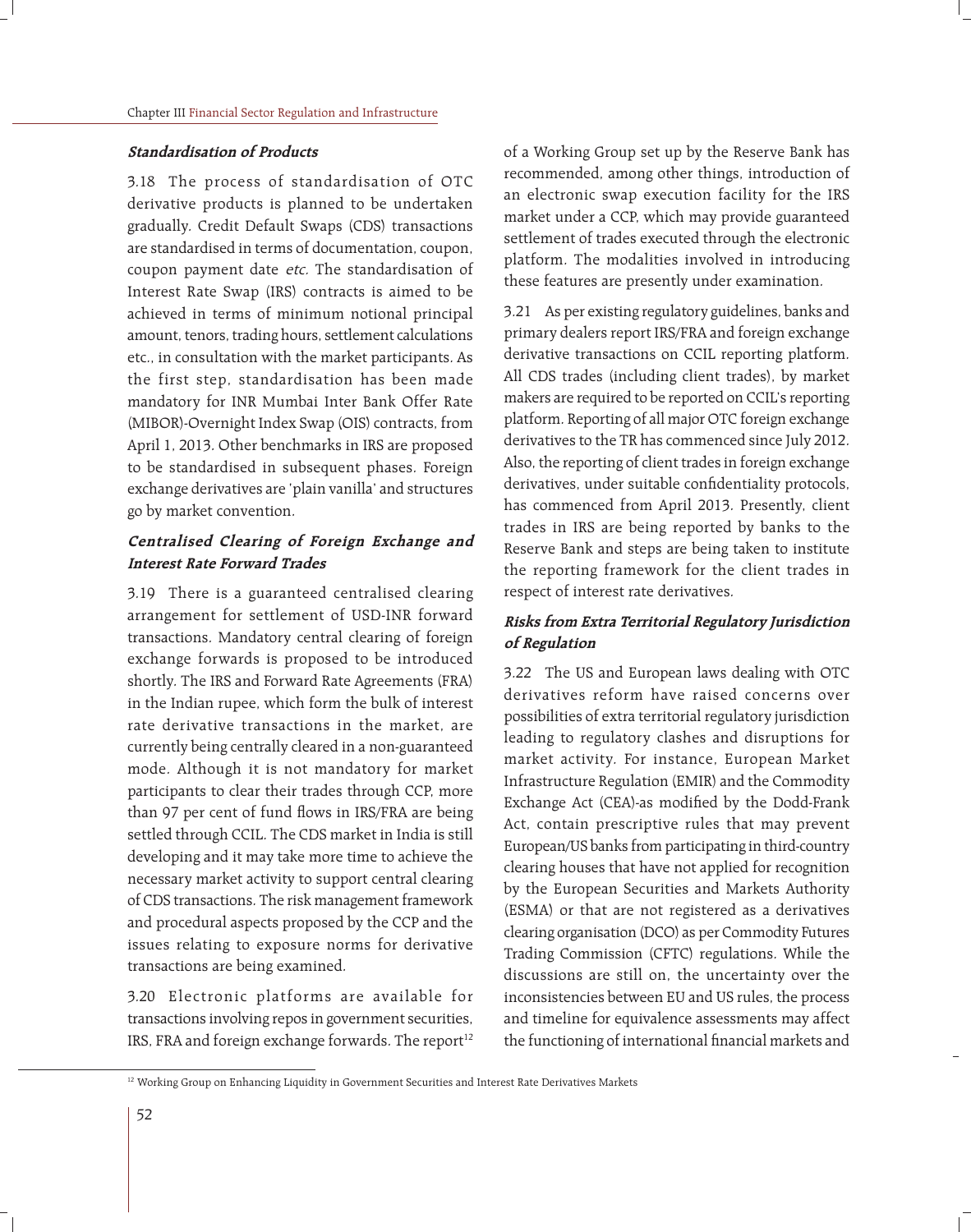#### **Standardisation of Products**

3.18 The process of standardisation of OTC derivative products is planned to be undertaken gradually. Credit Default Swaps (CDS) transactions are standardised in terms of documentation, coupon, coupon payment date etc. The standardisation of Interest Rate Swap (IRS) contracts is aimed to be achieved in terms of minimum notional principal amount, tenors, trading hours, settlement calculations etc., in consultation with the market participants. As the first step, standardisation has been made mandatory for INR Mumbai Inter Bank Offer Rate (MIBOR)-Overnight Index Swap (OIS) contracts, from April 1, 2013. Other benchmarks in IRS are proposed to be standardised in subsequent phases. Foreign exchange derivatives are 'plain vanilla' and structures go by market convention.

### **Centralised Clearing of Foreign Exchange and Interest Rate Forward Trades**

3.19 There is a guaranteed centralised clearing arrangement for settlement of USD-INR forward transactions. Mandatory central clearing of foreign exchange forwards is proposed to be introduced shortly. The IRS and Forward Rate Agreements (FRA) in the Indian rupee, which form the bulk of interest rate derivative transactions in the market, are currently being centrally cleared in a non-guaranteed mode. Although it is not mandatory for market participants to clear their trades through CCP, more than 97 per cent of fund flows in IRS/FRA are being settled through CCIL. The CDS market in India is still developing and it may take more time to achieve the necessary market activity to support central clearing of CDS transactions. The risk management framework and procedural aspects proposed by the CCP and the issues relating to exposure norms for derivative transactions are being examined.

3.20 Electronic platforms are available for transactions involving repos in government securities, IRS, FRA and foreign exchange forwards. The report<sup>12</sup> of a Working Group set up by the Reserve Bank has recommended, among other things, introduction of an electronic swap execution facility for the IRS market under a CCP, which may provide guaranteed settlement of trades executed through the electronic platform. The modalities involved in introducing these features are presently under examination.

3.21 As per existing regulatory guidelines, banks and primary dealers report IRS/FRA and foreign exchange derivative transactions on CCIL reporting platform. All CDS trades (including client trades), by market makers are required to be reported on CCIL's reporting platform. Reporting of all major OTC foreign exchange derivatives to the TR has commenced since July 2012. Also, the reporting of client trades in foreign exchange derivatives, under suitable confidentiality protocols, has commenced from April 2013. Presently, client trades in IRS are being reported by banks to the Reserve Bank and steps are being taken to institute the reporting framework for the client trades in respect of interest rate derivatives.

### **Risks from Extra Territorial Regulatory Jurisdiction of Regulation**

3.22 The US and European laws dealing with OTC derivatives reform have raised concerns over possibilities of extra territorial regulatory jurisdiction leading to regulatory clashes and disruptions for market activity. For instance, European Market Infrastructure Regulation (EMIR) and the Commodity Exchange Act (CEA)-as modified by the Dodd-Frank Act, contain prescriptive rules that may prevent European/US banks from participating in third-country clearing houses that have not applied for recognition by the European Securities and Markets Authority (ESMA) or that are not registered as a derivatives clearing organisation (DCO) as per Commodity Futures Trading Commission (CFTC) regulations. While the discussions are still on, the uncertainty over the inconsistencies between EU and US rules, the process and timeline for equivalence assessments may affect the functioning of international financial markets and

<sup>&</sup>lt;sup>12</sup> Working Group on Enhancing Liquidity in Government Securities and Interest Rate Derivatives Markets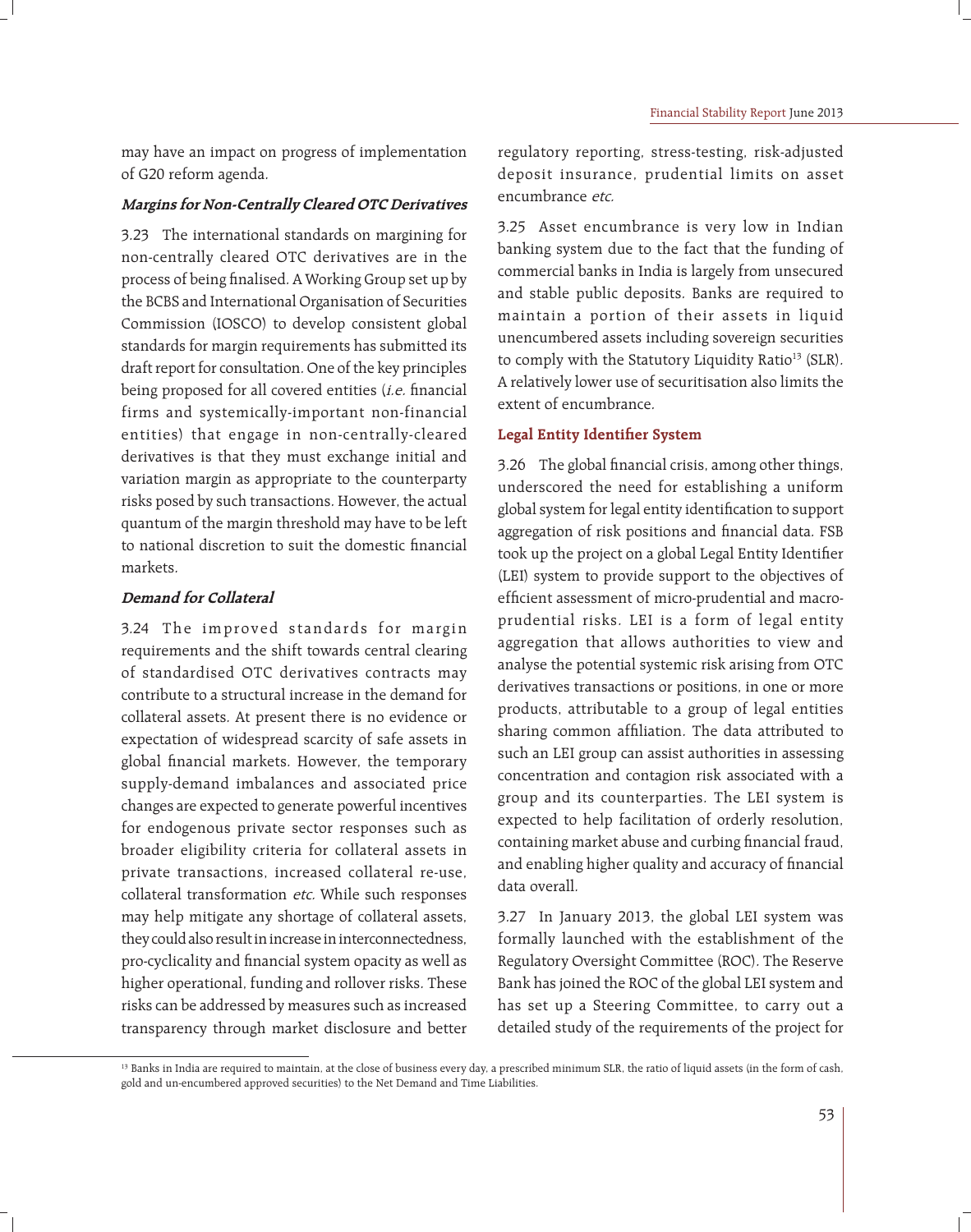may have an impact on progress of implementation of G20 reform agenda.

### **Margins for Non-Centrally Cleared OTC Derivatives**

3.23 The international standards on margining for non-centrally cleared OTC derivatives are in the process of being finalised. A Working Group set up by the BCBS and International Organisation of Securities Commission (IOSCO) to develop consistent global standards for margin requirements has submitted its draft report for consultation. One of the key principles being proposed for all covered entities  $(i.e.$  financial firms and systemically-important non-financial entities) that engage in non-centrally-cleared derivatives is that they must exchange initial and variation margin as appropriate to the counterparty risks posed by such transactions. However, the actual quantum of the margin threshold may have to be left to national discretion to suit the domestic financial markets.

### **Demand for Collateral**

3.24 The improved standards for margin requirements and the shift towards central clearing of standardised OTC derivatives contracts may contribute to a structural increase in the demand for collateral assets. At present there is no evidence or expectation of widespread scarcity of safe assets in global financial markets. However, the temporary supply-demand imbalances and associated price changes are expected to generate powerful incentives for endogenous private sector responses such as broader eligibility criteria for collateral assets in private transactions, increased collateral re-use, collateral transformation etc. While such responses may help mitigate any shortage of collateral assets, they could also result in increase in interconnectedness, pro-cyclicality and financial system opacity as well as higher operational, funding and rollover risks. These risks can be addressed by measures such as increased transparency through market disclosure and better regulatory reporting, stress-testing, risk-adjusted deposit insurance, prudential limits on asset encumbrance etc.

3.25 Asset encumbrance is very low in Indian banking system due to the fact that the funding of commercial banks in India is largely from unsecured and stable public deposits. Banks are required to maintain a portion of their assets in liquid unencumbered assets including sovereign securities to comply with the Statutory Liquidity Ratio<sup>13</sup> (SLR). A relatively lower use of securitisation also limits the extent of encumbrance.

### **Legal Entity Identifier System**

3.26 The global financial crisis, among other things, underscored the need for establishing a uniform global system for legal entity identification to support aggregation of risk positions and financial data. FSB took up the project on a global Legal Entity Identifier (LEI) system to provide support to the objectives of efficient assessment of micro-prudential and macroprudential risks. LEI is a form of legal entity aggregation that allows authorities to view and analyse the potential systemic risk arising from OTC derivatives transactions or positions, in one or more products, attributable to a group of legal entities sharing common affiliation. The data attributed to such an LEI group can assist authorities in assessing concentration and contagion risk associated with a group and its counterparties. The LEI system is expected to help facilitation of orderly resolution, containing market abuse and curbing financial fraud, and enabling higher quality and accuracy of financial data overall.

3.27 In January 2013, the global LEI system was formally launched with the establishment of the Regulatory Oversight Committee (ROC). The Reserve Bank has joined the ROC of the global LEI system and has set up a Steering Committee, to carry out a detailed study of the requirements of the project for

<sup>&</sup>lt;sup>13</sup> Banks in India are required to maintain, at the close of business every day, a prescribed minimum SLR, the ratio of liquid assets (in the form of cash, gold and un-encumbered approved securities) to the Net Demand and Time Liabilities.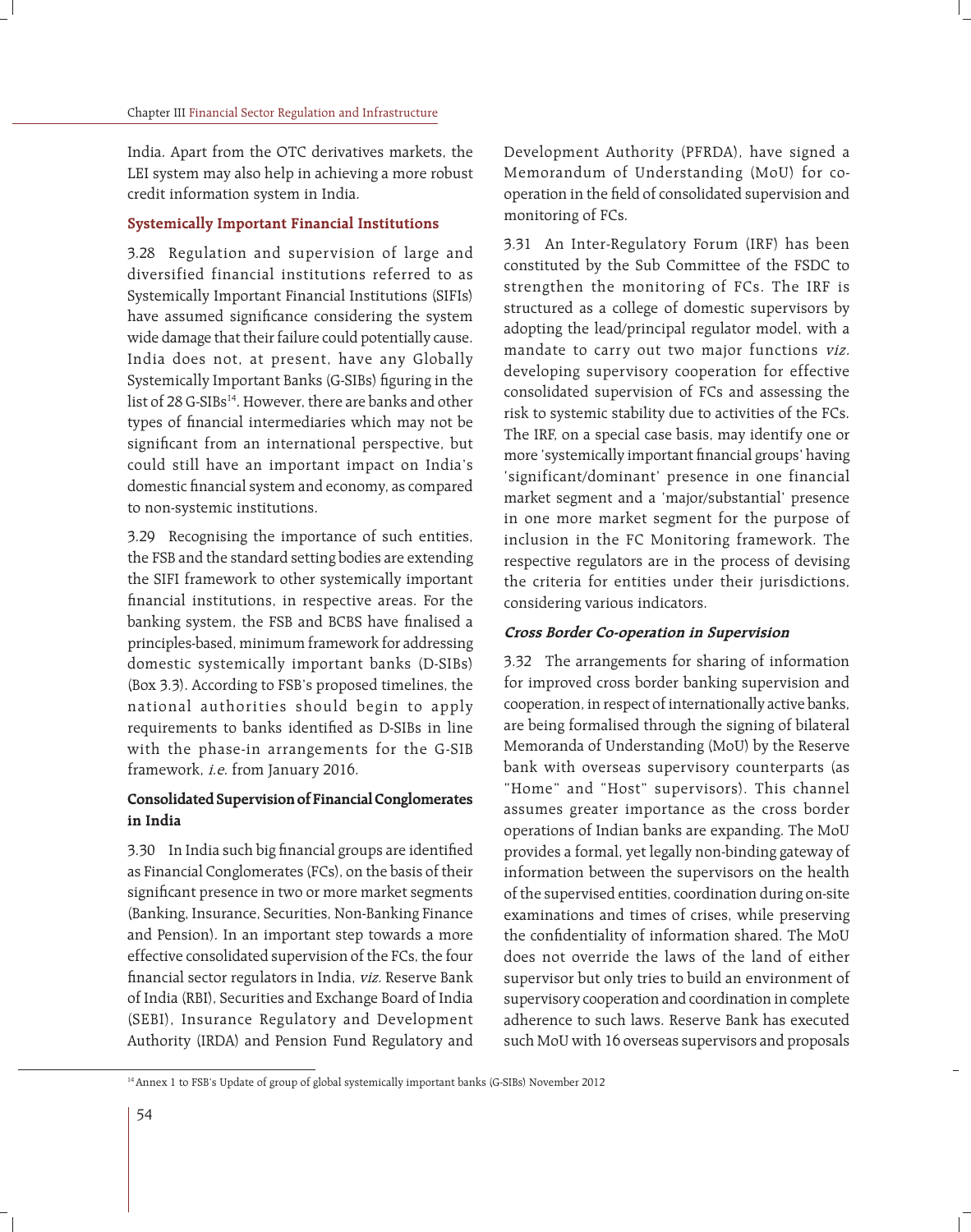India. Apart from the OTC derivatives markets, the LEI system may also help in achieving a more robust credit information system in India.

### **Systemically Important Financial Institutions**

3.28 Regulation and supervision of large and diversified financial institutions referred to as Systemically Important Financial Institutions (SIFIs) have assumed significance considering the system wide damage that their failure could potentially cause. India does not, at present, have any Globally Systemically Important Banks (G-SIBs) figuring in the list of 28 G-SIBs<sup>14</sup>. However, there are banks and other types of financial intermediaries which may not be significant from an international perspective, but could still have an important impact on India's domestic financial system and economy, as compared to non-systemic institutions.

3.29 Recognising the importance of such entities, the FSB and the standard setting bodies are extending the SIFI framework to other systemically important financial institutions, in respective areas. For the banking system, the FSB and BCBS have finalised a principles-based, minimum framework for addressing domestic systemically important banks (D-SIBs) (Box 3.3). According to FSB's proposed timelines, the national authorities should begin to apply requirements to banks identified as D-SIBs in line with the phase-in arrangements for the G-SIB framework, i.e. from January 2016.

## **Consolidated Supervision of Financial Conglomerates in India**

3.30 In India such big financial groups are identified as Financial Conglomerates (FCs), on the basis of their significant presence in two or more market segments (Banking, Insurance, Securities, Non-Banking Finance and Pension). In an important step towards a more effective consolidated supervision of the FCs, the four financial sector regulators in India, viz. Reserve Bank of India (RBI), Securities and Exchange Board of India (SEBI), Insurance Regulatory and Development Authority (IRDA) and Pension Fund Regulatory and

Development Authority (PFRDA), have signed a Memorandum of Understanding (MoU) for cooperation in the field of consolidated supervision and monitoring of FCs.

3.31 An Inter-Regulatory Forum (IRF) has been constituted by the Sub Committee of the FSDC to strengthen the monitoring of FCs. The IRF is structured as a college of domestic supervisors by adopting the lead/principal regulator model, with a mandate to carry out two major functions viz. developing supervisory cooperation for effective consolidated supervision of FCs and assessing the risk to systemic stability due to activities of the FCs. The IRF, on a special case basis, may identify one or more 'systemically important financial groups' having 'significant/dominant' presence in one financial market segment and a 'major/substantial' presence in one more market segment for the purpose of inclusion in the FC Monitoring framework. The respective regulators are in the process of devising the criteria for entities under their jurisdictions, considering various indicators.

#### **Cross Border Co-operation in Supervision**

3.32 The arrangements for sharing of information for improved cross border banking supervision and cooperation, in respect of internationally active banks, are being formalised through the signing of bilateral Memoranda of Understanding (MoU) by the Reserve bank with overseas supervisory counterparts (as "Home" and "Host" supervisors). This channel assumes greater importance as the cross border operations of Indian banks are expanding. The MoU provides a formal, yet legally non-binding gateway of information between the supervisors on the health of the supervised entities, coordination during on-site examinations and times of crises, while preserving the confidentiality of information shared. The MoU does not override the laws of the land of either supervisor but only tries to build an environment of supervisory cooperation and coordination in complete adherence to such laws. Reserve Bank has executed such MoU with 16 overseas supervisors and proposals

<sup>&</sup>lt;sup>14</sup> Annex 1 to FSB's Update of group of global systemically important banks (G-SIBs) November 2012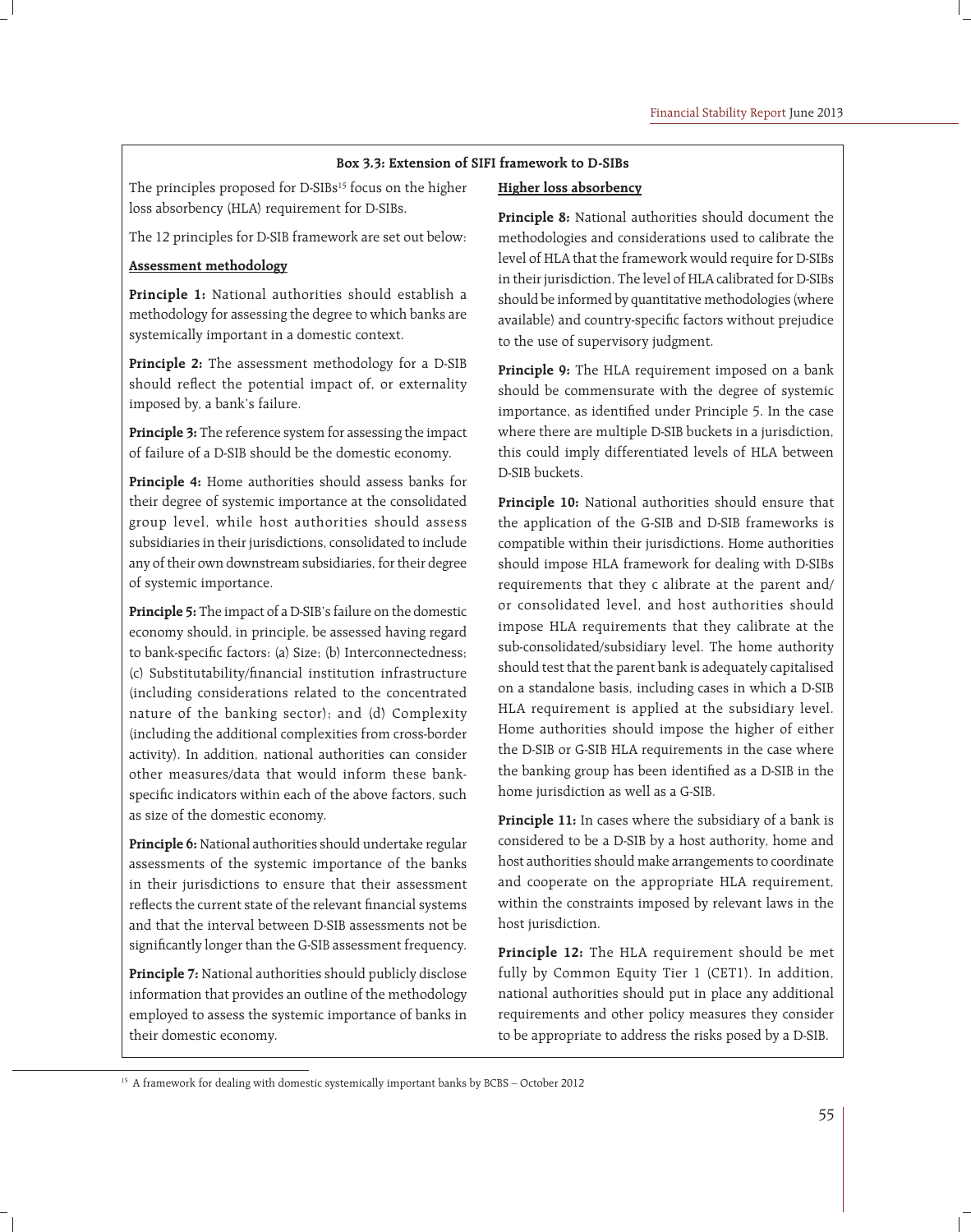#### **Box 3.3: Extension of SIFI framework to D-SIBs**

The principles proposed for D-SIBs<sup>15</sup> focus on the higher loss absorbency (HLA) requirement for D-SIBs.

The 12 principles for D-SIB framework are set out below:

#### **Assessment methodology**

**Principle 1:** National authorities should establish a methodology for assessing the degree to which banks are systemically important in a domestic context.

**Principle 2:** The assessment methodology for a D-SIB should reflect the potential impact of, or externality imposed by, a bank's failure.

**Principle 3:** The reference system for assessing the impact of failure of a D-SIB should be the domestic economy.

**Principle 4:** Home authorities should assess banks for their degree of systemic importance at the consolidated group level, while host authorities should assess subsidiaries in their jurisdictions, consolidated to include any of their own downstream subsidiaries, for their degree of systemic importance.

**Principle 5:** The impact of a D-SIB's failure on the domestic economy should, in principle, be assessed having regard to bank-specific factors: (a) Size; (b) Interconnectedness; (c) Substitutability/financial institution infrastructure (including considerations related to the concentrated nature of the banking sector); and (d) Complexity (including the additional complexities from cross-border activity). In addition, national authorities can consider other measures/data that would inform these bankspecific indicators within each of the above factors, such as size of the domestic economy.

**Principle 6:** National authorities should undertake regular assessments of the systemic importance of the banks in their jurisdictions to ensure that their assessment reflects the current state of the relevant financial systems and that the interval between D-SIB assessments not be significantly longer than the G-SIB assessment frequency.

**Principle 7:** National authorities should publicly disclose information that provides an outline of the methodology employed to assess the systemic importance of banks in their domestic economy.

#### **Higher loss absorbency**

**Principle 8:** National authorities should document the methodologies and considerations used to calibrate the level of HLA that the framework would require for D-SIBs in their jurisdiction. The level of HLA calibrated for D-SIBs should be informed by quantitative methodologies (where available) and country-specific factors without prejudice to the use of supervisory judgment.

**Principle 9:** The HLA requirement imposed on a bank should be commensurate with the degree of systemic importance, as identified under Principle 5. In the case where there are multiple D-SIB buckets in a jurisdiction, this could imply differentiated levels of HLA between D-SIB buckets.

**Principle 10:** National authorities should ensure that the application of the G-SIB and D-SIB frameworks is compatible within their jurisdictions. Home authorities should impose HLA framework for dealing with D-SIBs requirements that they c alibrate at the parent and/ or consolidated level, and host authorities should impose HLA requirements that they calibrate at the sub-consolidated/subsidiary level. The home authority should test that the parent bank is adequately capitalised on a standalone basis, including cases in which a D-SIB HLA requirement is applied at the subsidiary level. Home authorities should impose the higher of either the D-SIB or G-SIB HLA requirements in the case where the banking group has been identified as a D-SIB in the home jurisdiction as well as a G-SIB.

**Principle 11:** In cases where the subsidiary of a bank is considered to be a D-SIB by a host authority, home and host authorities should make arrangements to coordinate and cooperate on the appropriate HLA requirement, within the constraints imposed by relevant laws in the host jurisdiction.

**Principle 12:** The HLA requirement should be met fully by Common Equity Tier 1 (CET1). In addition, national authorities should put in place any additional requirements and other policy measures they consider to be appropriate to address the risks posed by a D-SIB.

<sup>&</sup>lt;sup>15</sup> A framework for dealing with domestic systemically important banks by BCBS – October 2012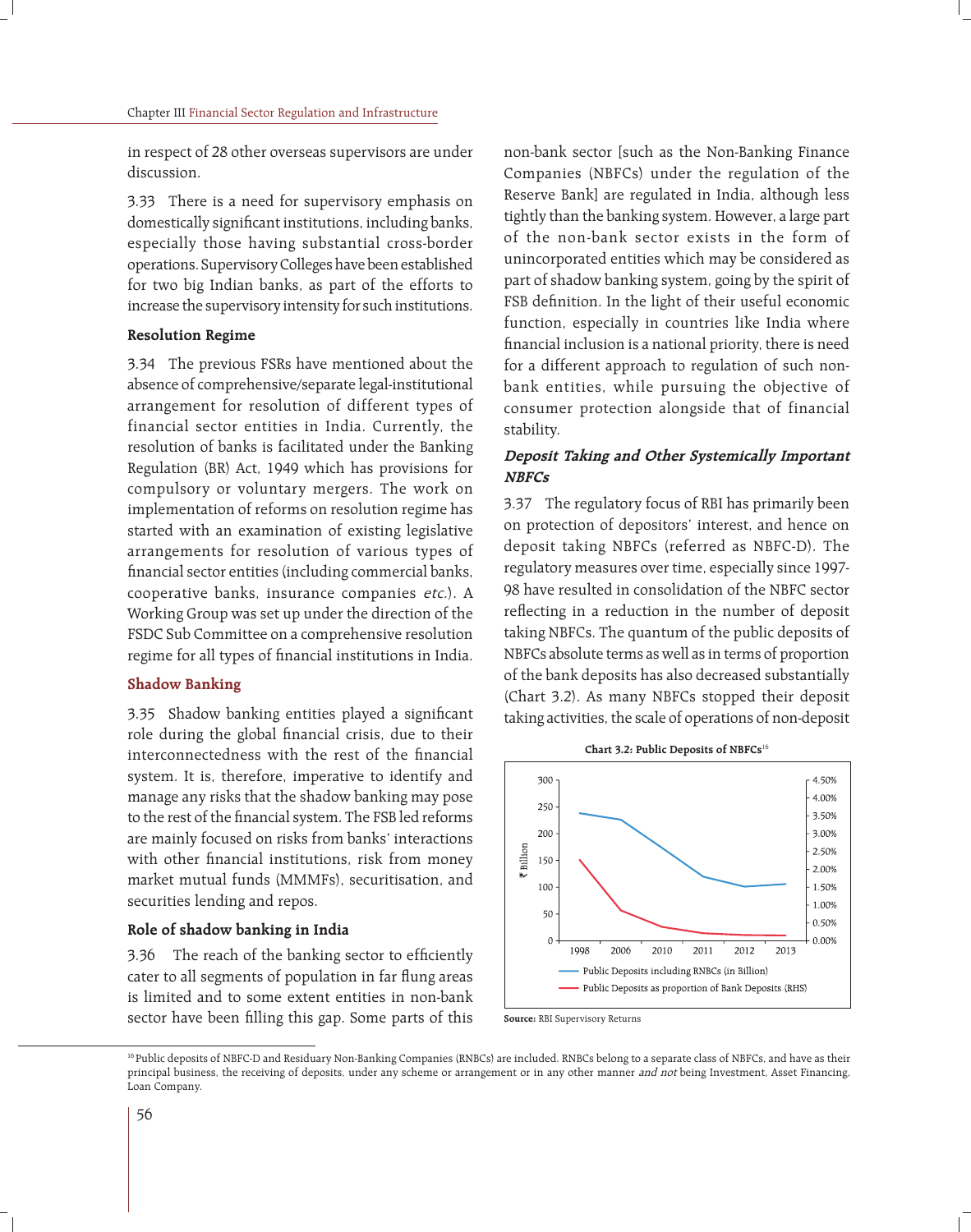in respect of 28 other overseas supervisors are under discussion.

3.33 There is a need for supervisory emphasis on domestically significant institutions, including banks, especially those having substantial cross-border operations. Supervisory Colleges have been established for two big Indian banks, as part of the efforts to increase the supervisory intensity for such institutions.

### **Resolution Regime**

3.34 The previous FSRs have mentioned about the absence of comprehensive/separate legal-institutional arrangement for resolution of different types of financial sector entities in India. Currently, the resolution of banks is facilitated under the Banking Regulation (BR) Act, 1949 which has provisions for compulsory or voluntary mergers. The work on implementation of reforms on resolution regime has started with an examination of existing legislative arrangements for resolution of various types of financial sector entities (including commercial banks, cooperative banks, insurance companies etc.). A Working Group was set up under the direction of the FSDC Sub Committee on a comprehensive resolution regime for all types of financial institutions in India.

### **Shadow Banking**

3.35 Shadow banking entities played a significant role during the global financial crisis, due to their interconnectedness with the rest of the financial system. It is, therefore, imperative to identify and manage any risks that the shadow banking may pose to the rest of the financial system. The FSB led reforms are mainly focused on risks from banks' interactions with other financial institutions, risk from money market mutual funds (MMMFs), securitisation, and securities lending and repos.

### **Role of shadow banking in India**

3.36 The reach of the banking sector to efficiently cater to all segments of population in far flung areas is limited and to some extent entities in non-bank sector have been filling this gap. Some parts of this non-bank sector [such as the Non-Banking Finance Companies (NBFCs) under the regulation of the Reserve Bank] are regulated in India, although less tightly than the banking system. However, a large part of the non-bank sector exists in the form of unincorporated entities which may be considered as part of shadow banking system, going by the spirit of FSB definition. In the light of their useful economic function, especially in countries like India where financial inclusion is a national priority, there is need for a different approach to regulation of such nonbank entities, while pursuing the objective of consumer protection alongside that of financial stability.

## **Deposit Taking and Other Systemically Important NBFCs**

3.37 The regulatory focus of RBI has primarily been on protection of depositors' interest, and hence on deposit taking NBFCs (referred as NBFC-D). The regulatory measures over time, especially since 1997- 98 have resulted in consolidation of the NBFC sector reflecting in a reduction in the number of deposit taking NBFCs. The quantum of the public deposits of NBFCs absolute terms as well as in terms of proportion of the bank deposits has also decreased substantially (Chart 3.2). As many NBFCs stopped their deposit taking activities, the scale of operations of non-deposit



**Source:** RBI Supervisory Returns

<sup>16</sup> Public deposits of NBFC-D and Residuary Non-Banking Companies (RNBCs) are included. RNBCs belong to a separate class of NBFCs, and have as their principal business, the receiving of deposits, under any scheme or arrangement or in any other manner and not being Investment, Asset Financing, Loan Company.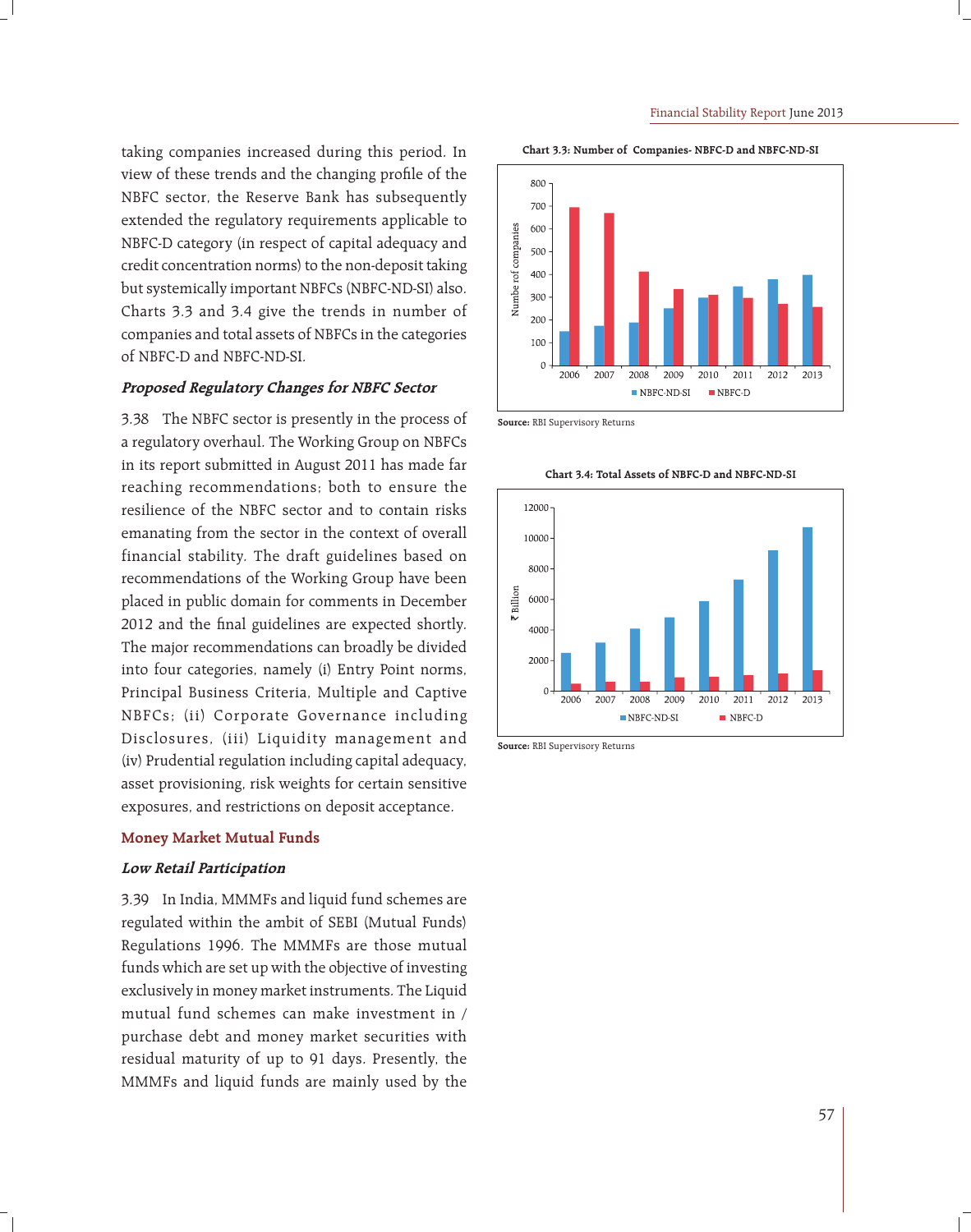taking companies increased during this period. In view of these trends and the changing profile of the NBFC sector, the Reserve Bank has subsequently extended the regulatory requirements applicable to NBFC-D category (in respect of capital adequacy and credit concentration norms) to the non-deposit taking but systemically important NBFCs (NBFC-ND-SI) also. Charts 3.3 and 3.4 give the trends in number of companies and total assets of NBFCs in the categories of NBFC-D and NBFC-ND-SI.

### **Proposed Regulatory Changes for NBFC Sector**

3.38 The NBFC sector is presently in the process of a regulatory overhaul. The Working Group on NBFCs in its report submitted in August 2011 has made far reaching recommendations; both to ensure the resilience of the NBFC sector and to contain risks emanating from the sector in the context of overall financial stability. The draft guidelines based on recommendations of the Working Group have been placed in public domain for comments in December 2012 and the final guidelines are expected shortly. The major recommendations can broadly be divided into four categories, namely (i) Entry Point norms, Principal Business Criteria, Multiple and Captive NBFCs; (ii) Corporate Governance including Disclosures, (iii) Liquidity management and (iv) Prudential regulation including capital adequacy, asset provisioning, risk weights for certain sensitive exposures, and restrictions on deposit acceptance.

### **Money Market Mutual Funds**

### **Low Retail Participation**

3.39 In India, MMMFs and liquid fund schemes are regulated within the ambit of SEBI (Mutual Funds) Regulations 1996. The MMMFs are those mutual funds which are set up with the objective of investing exclusively in money market instruments. The Liquid mutual fund schemes can make investment in / purchase debt and money market securities with residual maturity of up to 91 days. Presently, the MMMFs and liquid funds are mainly used by the





**Source:** RBI Supervisory Returns



**Chart 3.4: Total Assets of NBFC-D and NBFC-ND-SI**

**Source:** RBI Supervisory Returns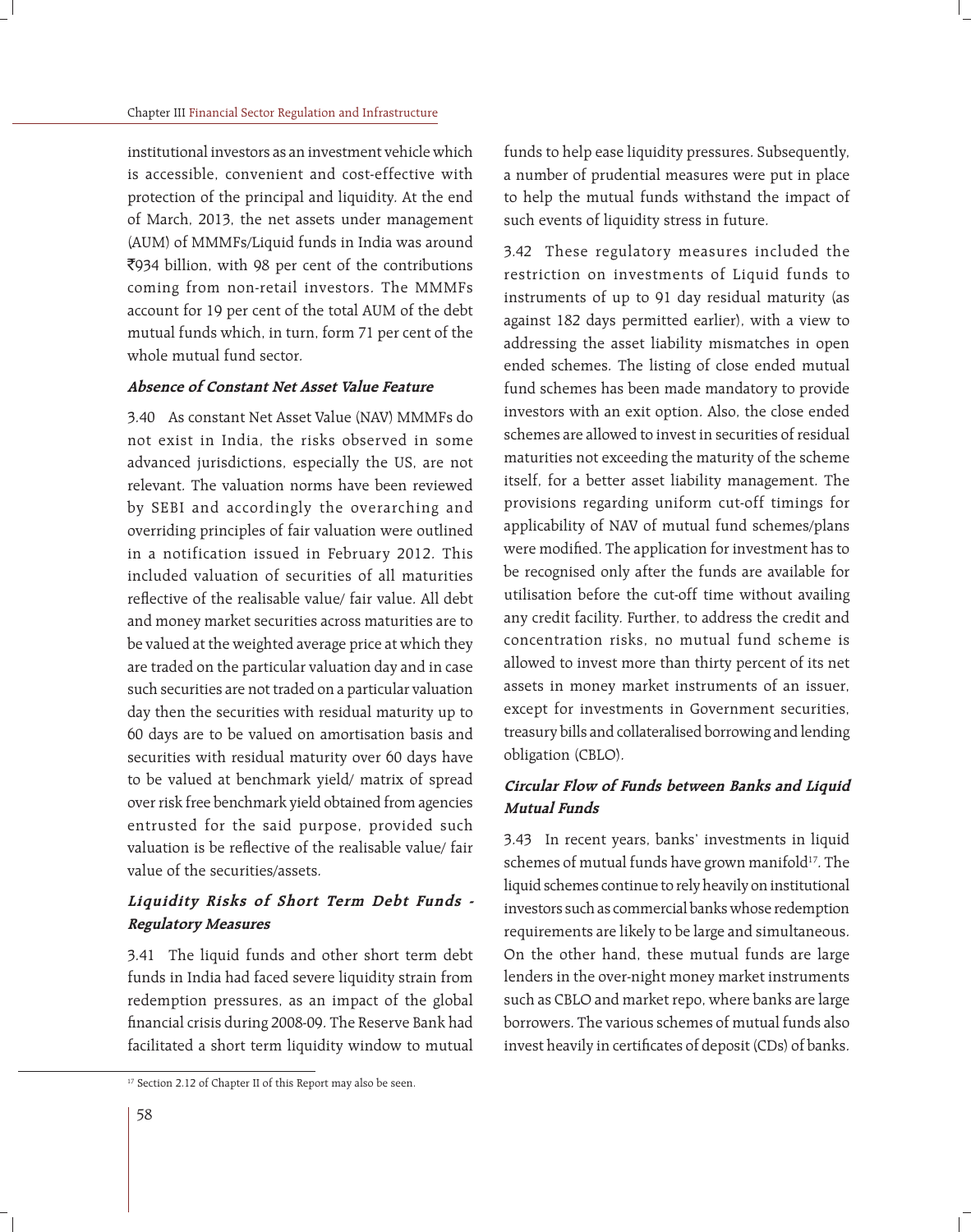institutional investors as an investment vehicle which is accessible, convenient and cost-effective with protection of the principal and liquidity. At the end of March, 2013, the net assets under management (AUM) of MMMFs/Liquid funds in India was around `934 billion, with 98 per cent of the contributions coming from non-retail investors. The MMMFs account for 19 per cent of the total AUM of the debt mutual funds which, in turn, form 71 per cent of the whole mutual fund sector.

## **Absence of Constant Net Asset Value Feature**

3.40 As constant Net Asset Value (NAV) MMMFs do not exist in India, the risks observed in some advanced jurisdictions, especially the US, are not relevant. The valuation norms have been reviewed by SEBI and accordingly the overarching and overriding principles of fair valuation were outlined in a notification issued in February 2012. This included valuation of securities of all maturities reflective of the realisable value/ fair value. All debt and money market securities across maturities are to be valued at the weighted average price at which they are traded on the particular valuation day and in case such securities are not traded on a particular valuation day then the securities with residual maturity up to 60 days are to be valued on amortisation basis and securities with residual maturity over 60 days have to be valued at benchmark yield/ matrix of spread over risk free benchmark yield obtained from agencies entrusted for the said purpose, provided such valuation is be reflective of the realisable value/ fair value of the securities/assets.

## **Liquidity Risks of Short Term Debt Funds - Regulatory Measures**

3.41 The liquid funds and other short term debt funds in India had faced severe liquidity strain from redemption pressures, as an impact of the global financial crisis during 2008-09. The Reserve Bank had facilitated a short term liquidity window to mutual

funds to help ease liquidity pressures. Subsequently, a number of prudential measures were put in place to help the mutual funds withstand the impact of such events of liquidity stress in future.

3.42 These regulatory measures included the restriction on investments of Liquid funds to instruments of up to 91 day residual maturity (as against 182 days permitted earlier), with a view to addressing the asset liability mismatches in open ended schemes. The listing of close ended mutual fund schemes has been made mandatory to provide investors with an exit option. Also, the close ended schemes are allowed to invest in securities of residual maturities not exceeding the maturity of the scheme itself, for a better asset liability management. The provisions regarding uniform cut-off timings for applicability of NAV of mutual fund schemes/plans were modified. The application for investment has to be recognised only after the funds are available for utilisation before the cut-off time without availing any credit facility. Further, to address the credit and concentration risks, no mutual fund scheme is allowed to invest more than thirty percent of its net assets in money market instruments of an issuer, except for investments in Government securities, treasury bills and collateralised borrowing and lending obligation (CBLO).

## **Circular Flow of Funds between Banks and Liquid Mutual Funds**

3.43 In recent years, banks' investments in liquid schemes of mutual funds have grown manifold<sup>17</sup>. The liquid schemes continue to rely heavily on institutional investors such as commercial banks whose redemption requirements are likely to be large and simultaneous. On the other hand, these mutual funds are large lenders in the over-night money market instruments such as CBLO and market repo, where banks are large borrowers. The various schemes of mutual funds also invest heavily in certificates of deposit (CDs) of banks.

<sup>&</sup>lt;sup>17</sup> Section 2.12 of Chapter II of this Report may also be seen.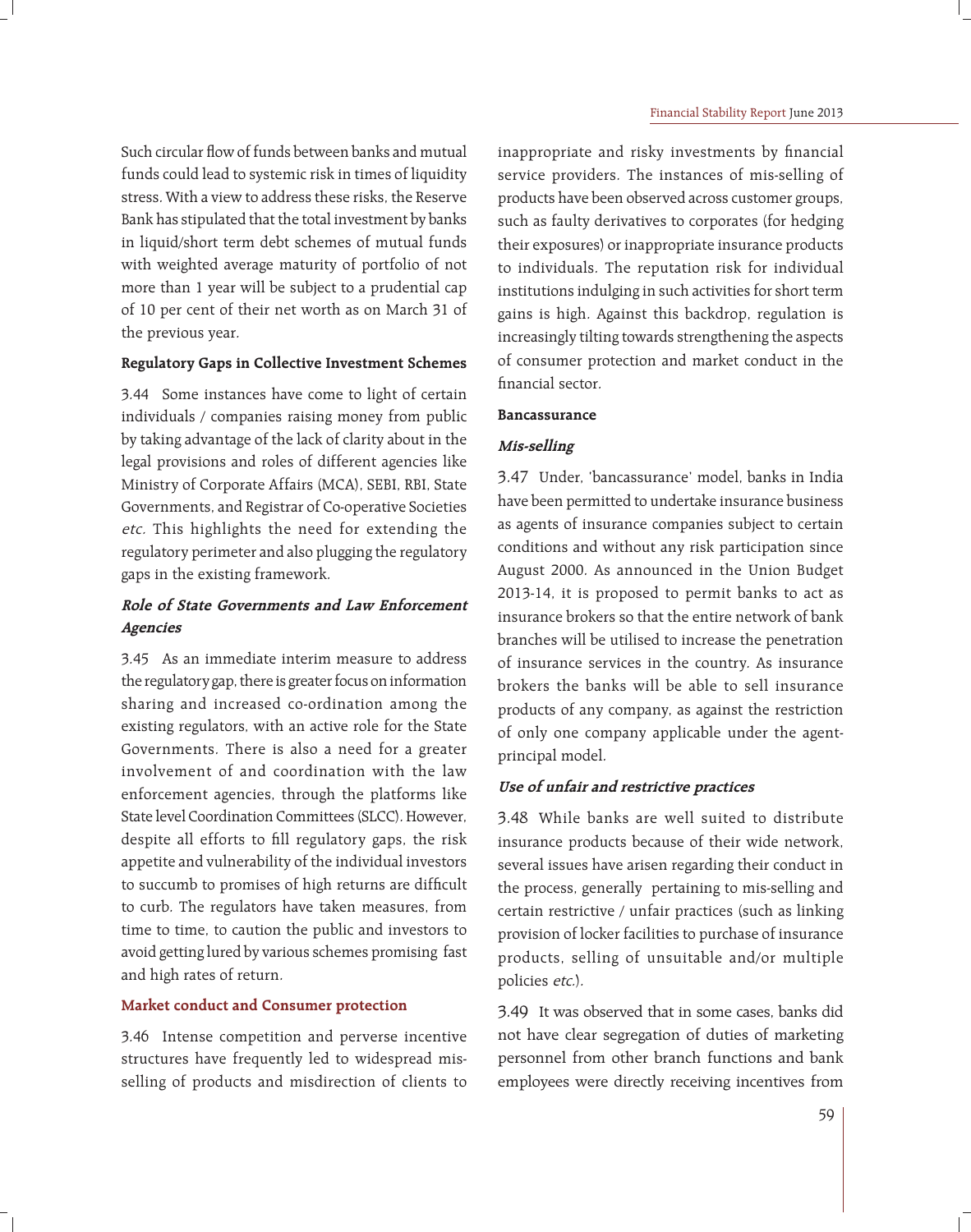Such circular flow of funds between banks and mutual funds could lead to systemic risk in times of liquidity stress. With a view to address these risks, the Reserve Bank has stipulated that the total investment by banks in liquid/short term debt schemes of mutual funds with weighted average maturity of portfolio of not more than 1 year will be subject to a prudential cap of 10 per cent of their net worth as on March 31 of the previous year.

### **Regulatory Gaps in Collective Investment Schemes**

3.44 Some instances have come to light of certain individuals / companies raising money from public by taking advantage of the lack of clarity about in the legal provisions and roles of different agencies like Ministry of Corporate Affairs (MCA), SEBI, RBI, State Governments, and Registrar of Co-operative Societies etc. This highlights the need for extending the regulatory perimeter and also plugging the regulatory gaps in the existing framework.

## **Role of State Governments and Law Enforcement Agencies**

3.45 As an immediate interim measure to address the regulatory gap, there is greater focus on information sharing and increased co-ordination among the existing regulators, with an active role for the State Governments. There is also a need for a greater involvement of and coordination with the law enforcement agencies, through the platforms like State level Coordination Committees (SLCC). However, despite all efforts to fill regulatory gaps, the risk appetite and vulnerability of the individual investors to succumb to promises of high returns are difficult to curb. The regulators have taken measures, from time to time, to caution the public and investors to avoid getting lured by various schemes promising fast and high rates of return.

### **Market conduct and Consumer protection**

3.46 Intense competition and perverse incentive structures have frequently led to widespread misselling of products and misdirection of clients to inappropriate and risky investments by financial service providers. The instances of mis-selling of products have been observed across customer groups, such as faulty derivatives to corporates (for hedging their exposures) or inappropriate insurance products to individuals. The reputation risk for individual institutions indulging in such activities for short term gains is high. Against this backdrop, regulation is increasingly tilting towards strengthening the aspects of consumer protection and market conduct in the financial sector.

#### **Bancassurance**

### **Mis-selling**

3.47 Under, 'bancassurance' model, banks in India have been permitted to undertake insurance business as agents of insurance companies subject to certain conditions and without any risk participation since August 2000. As announced in the Union Budget 2013-14, it is proposed to permit banks to act as insurance brokers so that the entire network of bank branches will be utilised to increase the penetration of insurance services in the country. As insurance brokers the banks will be able to sell insurance products of any company, as against the restriction of only one company applicable under the agentprincipal model.

### **Use of unfair and restrictive practices**

3.48 While banks are well suited to distribute insurance products because of their wide network, several issues have arisen regarding their conduct in the process, generally pertaining to mis-selling and certain restrictive / unfair practices (such as linking provision of locker facilities to purchase of insurance products, selling of unsuitable and/or multiple policies etc.).

3.49 It was observed that in some cases, banks did not have clear segregation of duties of marketing personnel from other branch functions and bank employees were directly receiving incentives from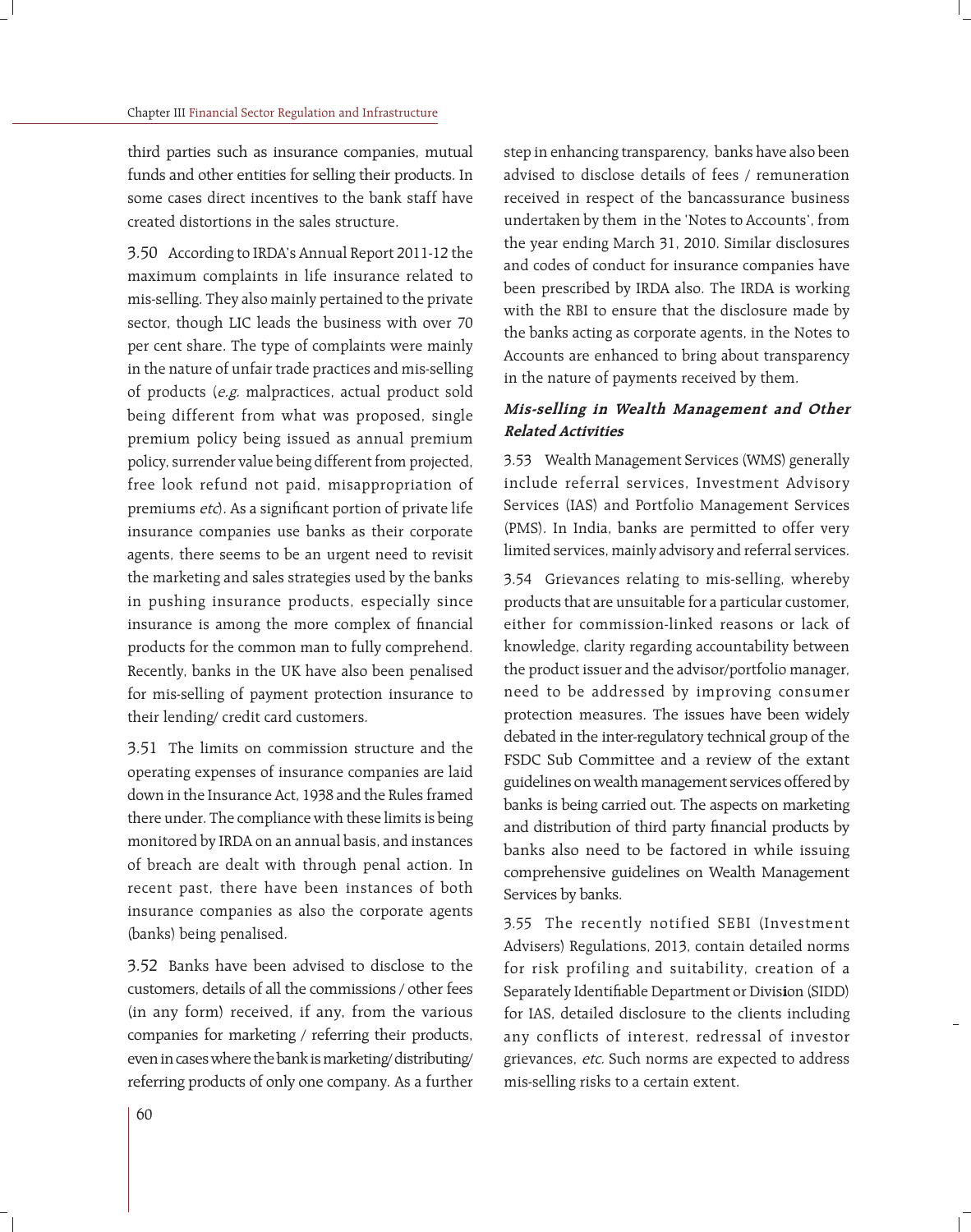third parties such as insurance companies, mutual funds and other entities for selling their products. In some cases direct incentives to the bank staff have created distortions in the sales structure.

3.50 According to IRDA's Annual Report 2011-12 the maximum complaints in life insurance related to mis-selling. They also mainly pertained to the private sector, though LIC leads the business with over 70 per cent share. The type of complaints were mainly in the nature of unfair trade practices and mis-selling of products (e.g. malpractices, actual product sold being different from what was proposed, single premium policy being issued as annual premium policy, surrender value being different from projected, free look refund not paid, misappropriation of premiums etc). As a significant portion of private life insurance companies use banks as their corporate agents, there seems to be an urgent need to revisit the marketing and sales strategies used by the banks in pushing insurance products, especially since insurance is among the more complex of financial products for the common man to fully comprehend. Recently, banks in the UK have also been penalised for mis-selling of payment protection insurance to their lending/ credit card customers.

3.51 The limits on commission structure and the operating expenses of insurance companies are laid down in the Insurance Act, 1938 and the Rules framed there under. The compliance with these limits is being monitored by IRDA on an annual basis, and instances of breach are dealt with through penal action. In recent past, there have been instances of both insurance companies as also the corporate agents (banks) being penalised.

3.52 Banks have been advised to disclose to the customers, details of all the commissions / other fees (in any form) received, if any, from the various companies for marketing / referring their products, even in cases where the bank is marketing/ distributing/ referring products of only one company. As a further step in enhancing transparency, banks have also been advised to disclose details of fees / remuneration received in respect of the bancassurance business undertaken by them in the 'Notes to Accounts', from the year ending March 31, 2010. Similar disclosures and codes of conduct for insurance companies have been prescribed by IRDA also. The IRDA is working with the RBI to ensure that the disclosure made by the banks acting as corporate agents, in the Notes to Accounts are enhanced to bring about transparency in the nature of payments received by them.

### **Mis-selling in Wealth Management and Other Related Activities**

3.53 Wealth Management Services (WMS) generally include referral services, Investment Advisory Services (IAS) and Portfolio Management Services (PMS). In India, banks are permitted to offer very limited services, mainly advisory and referral services.

3.54 Grievances relating to mis-selling, whereby products that are unsuitable for a particular customer, either for commission-linked reasons or lack of knowledge, clarity regarding accountability between the product issuer and the advisor/portfolio manager, need to be addressed by improving consumer protection measures. The issues have been widely debated in the inter-regulatory technical group of the FSDC Sub Committee and a review of the extant guidelines on wealth management services offered by banks is being carried out. The aspects on marketing and distribution of third party financial products by banks also need to be factored in while issuing comprehensive guidelines on Wealth Management Services by banks.

3.55 The recently notified SEBI (Investment Advisers) Regulations, 2013, contain detailed norms for risk profiling and suitability, creation of a Separately Identifiable Department or Division (SIDD) for IAS, detailed disclosure to the clients including any conflicts of interest, redressal of investor grievances, etc. Such norms are expected to address mis-selling risks to a certain extent.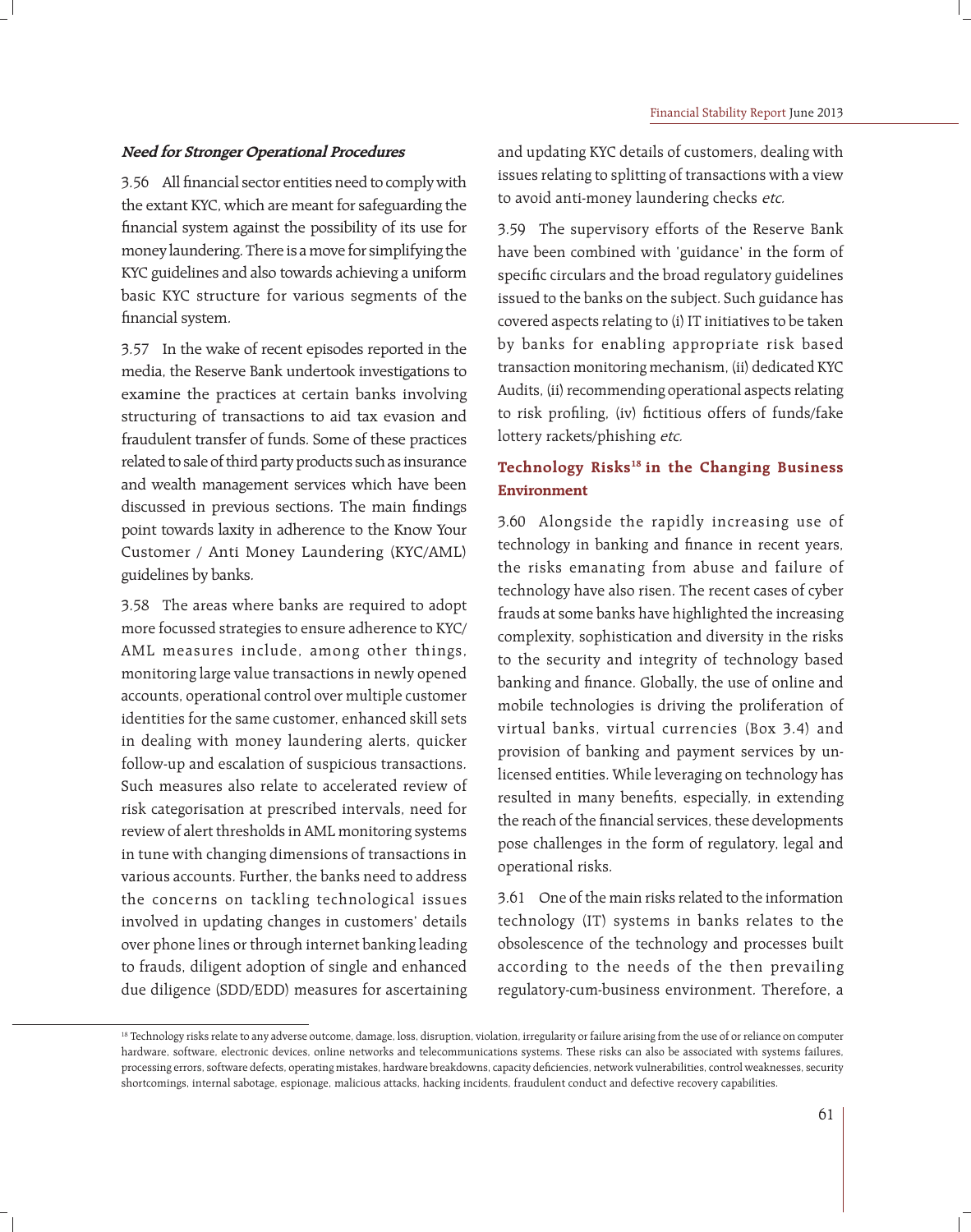### **Need for Stronger Operational Procedures**

3.56 All financial sector entities need to comply with the extant KYC, which are meant for safeguarding the financial system against the possibility of its use for money laundering. There is a move for simplifying the KYC guidelines and also towards achieving a uniform basic KYC structure for various segments of the financial system.

3.57 In the wake of recent episodes reported in the media, the Reserve Bank undertook investigations to examine the practices at certain banks involving structuring of transactions to aid tax evasion and fraudulent transfer of funds. Some of these practices related to sale of third party products such as insurance and wealth management services which have been discussed in previous sections. The main findings point towards laxity in adherence to the Know Your Customer / Anti Money Laundering (KYC/AML) guidelines by banks.

3.58 The areas where banks are required to adopt more focussed strategies to ensure adherence to KYC/ AML measures include, among other things, monitoring large value transactions in newly opened accounts, operational control over multiple customer identities for the same customer, enhanced skill sets in dealing with money laundering alerts, quicker follow-up and escalation of suspicious transactions. Such measures also relate to accelerated review of risk categorisation at prescribed intervals, need for review of alert thresholds in AML monitoring systems in tune with changing dimensions of transactions in various accounts. Further, the banks need to address the concerns on tackling technological issues involved in updating changes in customers' details over phone lines or through internet banking leading to frauds, diligent adoption of single and enhanced due diligence (SDD/EDD) measures for ascertaining and updating KYC details of customers, dealing with issues relating to splitting of transactions with a view to avoid anti-money laundering checks etc.

3.59 The supervisory efforts of the Reserve Bank have been combined with 'guidance' in the form of specific circulars and the broad regulatory guidelines issued to the banks on the subject. Such guidance has covered aspects relating to (i) IT initiatives to be taken by banks for enabling appropriate risk based transaction monitoring mechanism, (ii) dedicated KYC Audits, (ii) recommending operational aspects relating to risk profiling, (iv) fictitious offers of funds/fake lottery rackets/phishing etc.

## **Technology Risks18 in the Changing Business Environment**

3.60 Alongside the rapidly increasing use of technology in banking and finance in recent years, the risks emanating from abuse and failure of technology have also risen. The recent cases of cyber frauds at some banks have highlighted the increasing complexity, sophistication and diversity in the risks to the security and integrity of technology based banking and finance. Globally, the use of online and mobile technologies is driving the proliferation of virtual banks, virtual currencies (Box 3.4) and provision of banking and payment services by unlicensed entities. While leveraging on technology has resulted in many benefits, especially, in extending the reach of the financial services, these developments pose challenges in the form of regulatory, legal and operational risks.

3.61 One of the main risks related to the information technology (IT) systems in banks relates to the obsolescence of the technology and processes built according to the needs of the then prevailing regulatory-cum-business environment. Therefore, a

<sup>&</sup>lt;sup>18</sup> Technology risks relate to any adverse outcome, damage, loss, disruption, violation, irregularity or failure arising from the use of or reliance on computer hardware, software, electronic devices, online networks and telecommunications systems. These risks can also be associated with systems failures, processing errors, software defects, operating mistakes, hardware breakdowns, capacity deficiencies, network vulnerabilities, control weaknesses, security shortcomings, internal sabotage, espionage, malicious attacks, hacking incidents, fraudulent conduct and defective recovery capabilities.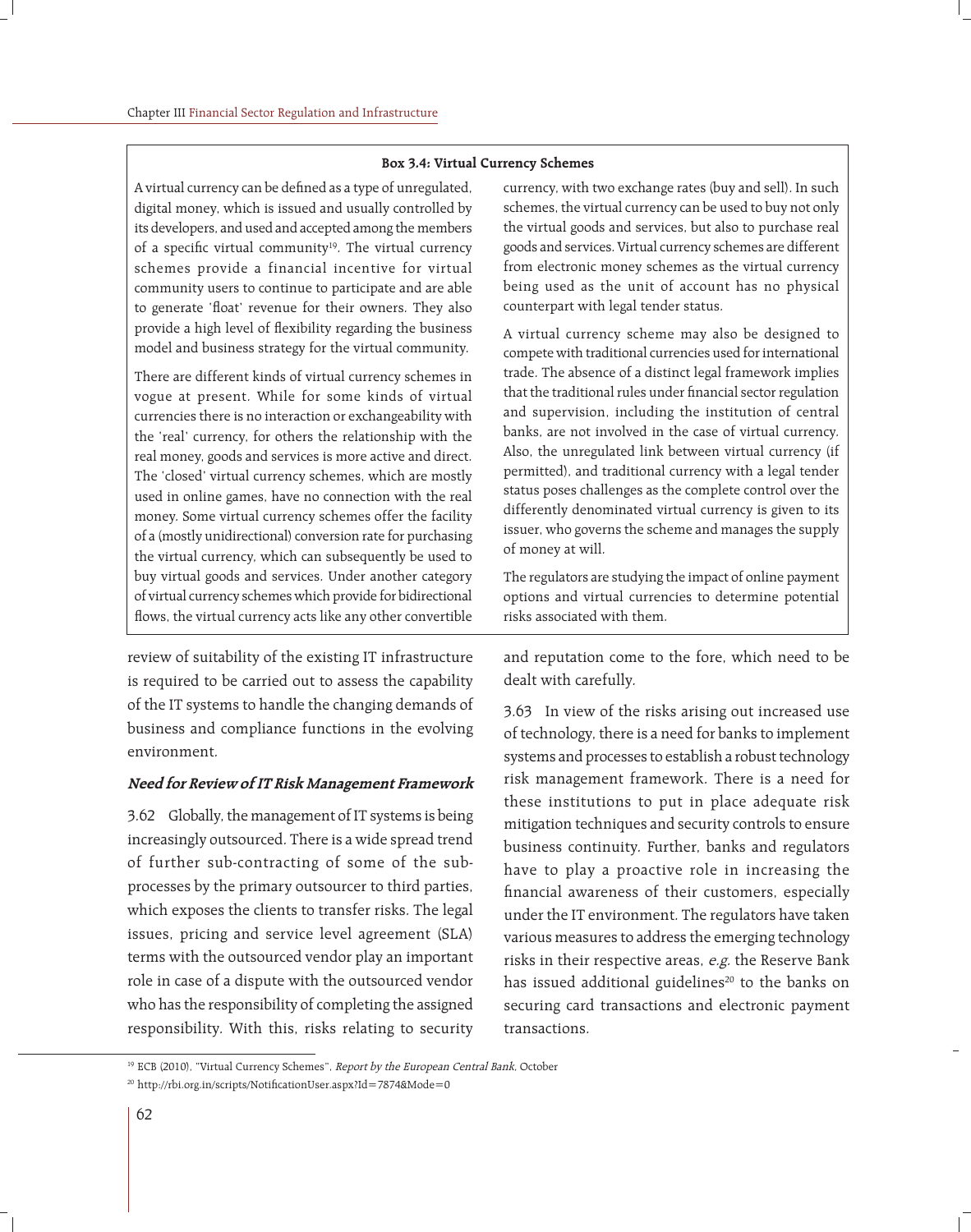#### **Box 3.4: Virtual Currency Schemes**

A virtual currency can be defined as a type of unregulated, digital money, which is issued and usually controlled by its developers, and used and accepted among the members of a specific virtual community<sup>19</sup>. The virtual currency schemes provide a financial incentive for virtual community users to continue to participate and are able to generate 'float' revenue for their owners. They also provide a high level of flexibility regarding the business model and business strategy for the virtual community.

There are different kinds of virtual currency schemes in vogue at present. While for some kinds of virtual currencies there is no interaction or exchangeability with the 'real' currency, for others the relationship with the real money, goods and services is more active and direct. The 'closed' virtual currency schemes, which are mostly used in online games, have no connection with the real money. Some virtual currency schemes offer the facility of a (mostly unidirectional) conversion rate for purchasing the virtual currency, which can subsequently be used to buy virtual goods and services. Under another category of virtual currency schemes which provide for bidirectional flows, the virtual currency acts like any other convertible

review of suitability of the existing IT infrastructure is required to be carried out to assess the capability of the IT systems to handle the changing demands of business and compliance functions in the evolving environment.

#### **Need for Review of IT Risk Management Framework**

3.62 Globally, the management of IT systems is being increasingly outsourced. There is a wide spread trend of further sub-contracting of some of the subprocesses by the primary outsourcer to third parties, which exposes the clients to transfer risks. The legal issues, pricing and service level agreement (SLA) terms with the outsourced vendor play an important role in case of a dispute with the outsourced vendor who has the responsibility of completing the assigned responsibility. With this, risks relating to security

currency, with two exchange rates (buy and sell). In such schemes, the virtual currency can be used to buy not only the virtual goods and services, but also to purchase real goods and services. Virtual currency schemes are different from electronic money schemes as the virtual currency being used as the unit of account has no physical counterpart with legal tender status.

A virtual currency scheme may also be designed to compete with traditional currencies used for international trade. The absence of a distinct legal framework implies that the traditional rules under financial sector regulation and supervision, including the institution of central banks, are not involved in the case of virtual currency. Also, the unregulated link between virtual currency (if permitted), and traditional currency with a legal tender status poses challenges as the complete control over the differently denominated virtual currency is given to its issuer, who governs the scheme and manages the supply of money at will.

The regulators are studying the impact of online payment options and virtual currencies to determine potential risks associated with them.

and reputation come to the fore, which need to be dealt with carefully.

3.63 In view of the risks arising out increased use of technology, there is a need for banks to implement systems and processes to establish a robust technology risk management framework. There is a need for these institutions to put in place adequate risk mitigation techniques and security controls to ensure business continuity. Further, banks and regulators have to play a proactive role in increasing the financial awareness of their customers, especially under the IT environment. The regulators have taken various measures to address the emerging technology risks in their respective areas, e.g. the Reserve Bank has issued additional guidelines<sup>20</sup> to the banks on securing card transactions and electronic payment transactions.

<sup>&</sup>lt;sup>19</sup> ECB (2010), "Virtual Currency Schemes", *Report by the European Central Bank*, October

<sup>&</sup>lt;sup>20</sup> http://rbi.org.in/scripts/NotificationUser.aspx?Id=7874&Mode=0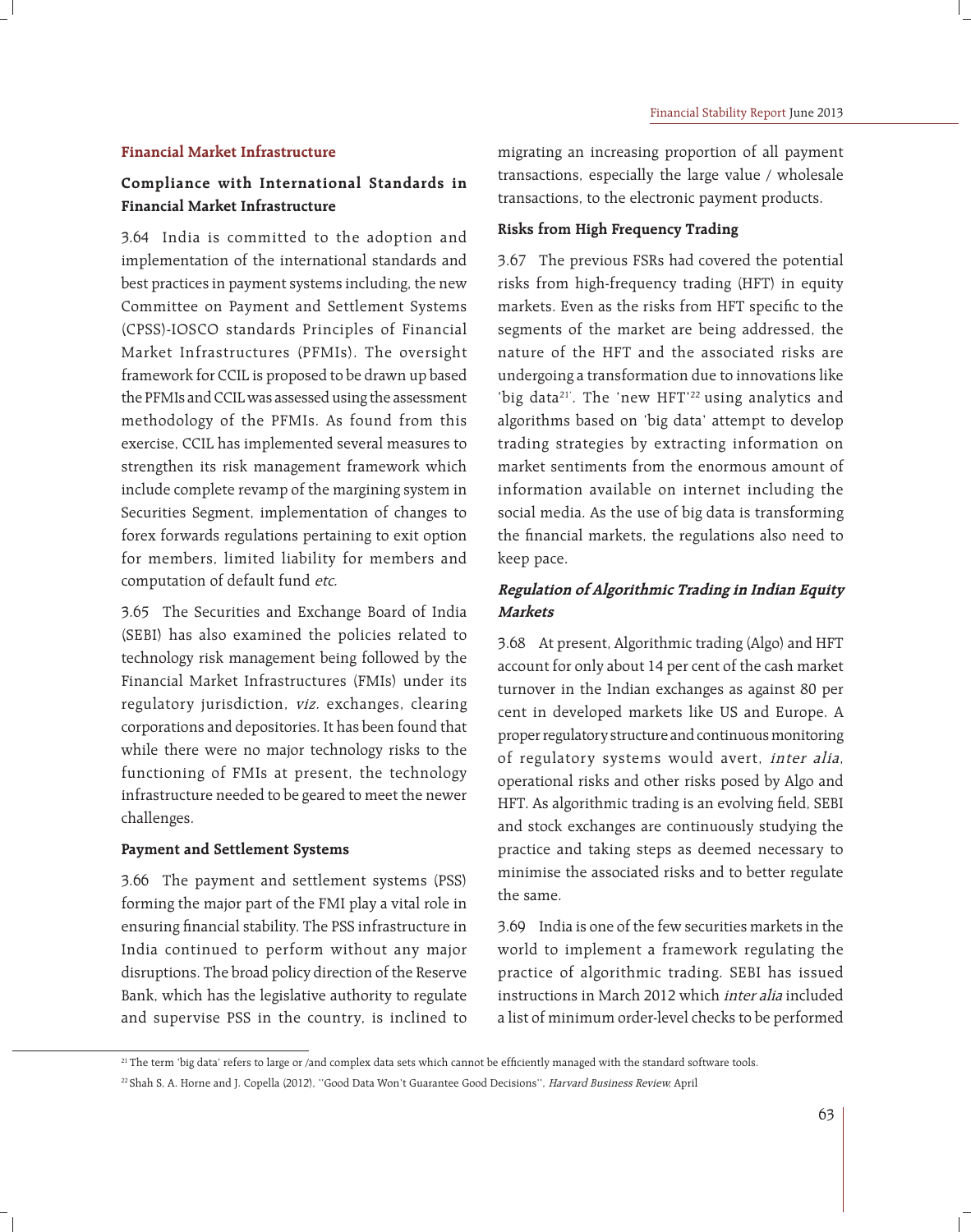#### **Financial Market Infrastructure**

## **Compliance with International Standards in Financial Market Infrastructure**

3.64 India is committed to the adoption and implementation of the international standards and best practices in payment systems including, the new Committee on Payment and Settlement Systems (CPSS)-IOSCO standards Principles of Financial Market Infrastructures (PFMIs). The oversight framework for CCIL is proposed to be drawn up based the PFMIs and CCIL was assessed using the assessment methodology of the PFMIs. As found from this exercise, CCIL has implemented several measures to strengthen its risk management framework which include complete revamp of the margining system in Securities Segment, implementation of changes to forex forwards regulations pertaining to exit option for members, limited liability for members and computation of default fund etc.

3.65 The Securities and Exchange Board of India (SEBI) has also examined the policies related to technology risk management being followed by the Financial Market Infrastructures (FMIs) under its regulatory jurisdiction, viz. exchanges, clearing corporations and depositories. It has been found that while there were no major technology risks to the functioning of FMIs at present, the technology infrastructure needed to be geared to meet the newer challenges.

#### **Payment and Settlement Systems**

3.66 The payment and settlement systems (PSS) forming the major part of the FMI play a vital role in ensuring financial stability. The PSS infrastructure in India continued to perform without any major disruptions. The broad policy direction of the Reserve Bank, which has the legislative authority to regulate and supervise PSS in the country, is inclined to migrating an increasing proportion of all payment transactions, especially the large value / wholesale transactions, to the electronic payment products.

### **Risks from High Frequency Trading**

3.67 The previous FSRs had covered the potential risks from high-frequency trading (HFT) in equity markets. Even as the risks from HFT specific to the segments of the market are being addressed, the nature of the HFT and the associated risks are undergoing a transformation due to innovations like 'big data<sup>21'</sup>. The 'new HFT'<sup>22</sup> using analytics and algorithms based on 'big data' attempt to develop trading strategies by extracting information on market sentiments from the enormous amount of information available on internet including the social media. As the use of big data is transforming the financial markets, the regulations also need to keep pace.

## **Regulation of Algorithmic Trading in Indian Equity Markets**

3.68 At present, Algorithmic trading (Algo) and HFT account for only about 14 per cent of the cash market turnover in the Indian exchanges as against 80 per cent in developed markets like US and Europe. A proper regulatory structure and continuous monitoring of regulatory systems would avert, inter alia, operational risks and other risks posed by Algo and HFT. As algorithmic trading is an evolving field, SEBI and stock exchanges are continuously studying the practice and taking steps as deemed necessary to minimise the associated risks and to better regulate the same.

3.69 India is one of the few securities markets in the world to implement a framework regulating the practice of algorithmic trading. SEBI has issued instructions in March 2012 which inter alia included a list of minimum order-level checks to be performed

<sup>&</sup>lt;sup>21</sup> The term 'big data' refers to large or /and complex data sets which cannot be efficiently managed with the standard software tools.

<sup>&</sup>lt;sup>22</sup> Shah S, A. Horne and J. Copella (2012), "Good Data Won't Guarantee Good Decisions", Harvard Business Review, April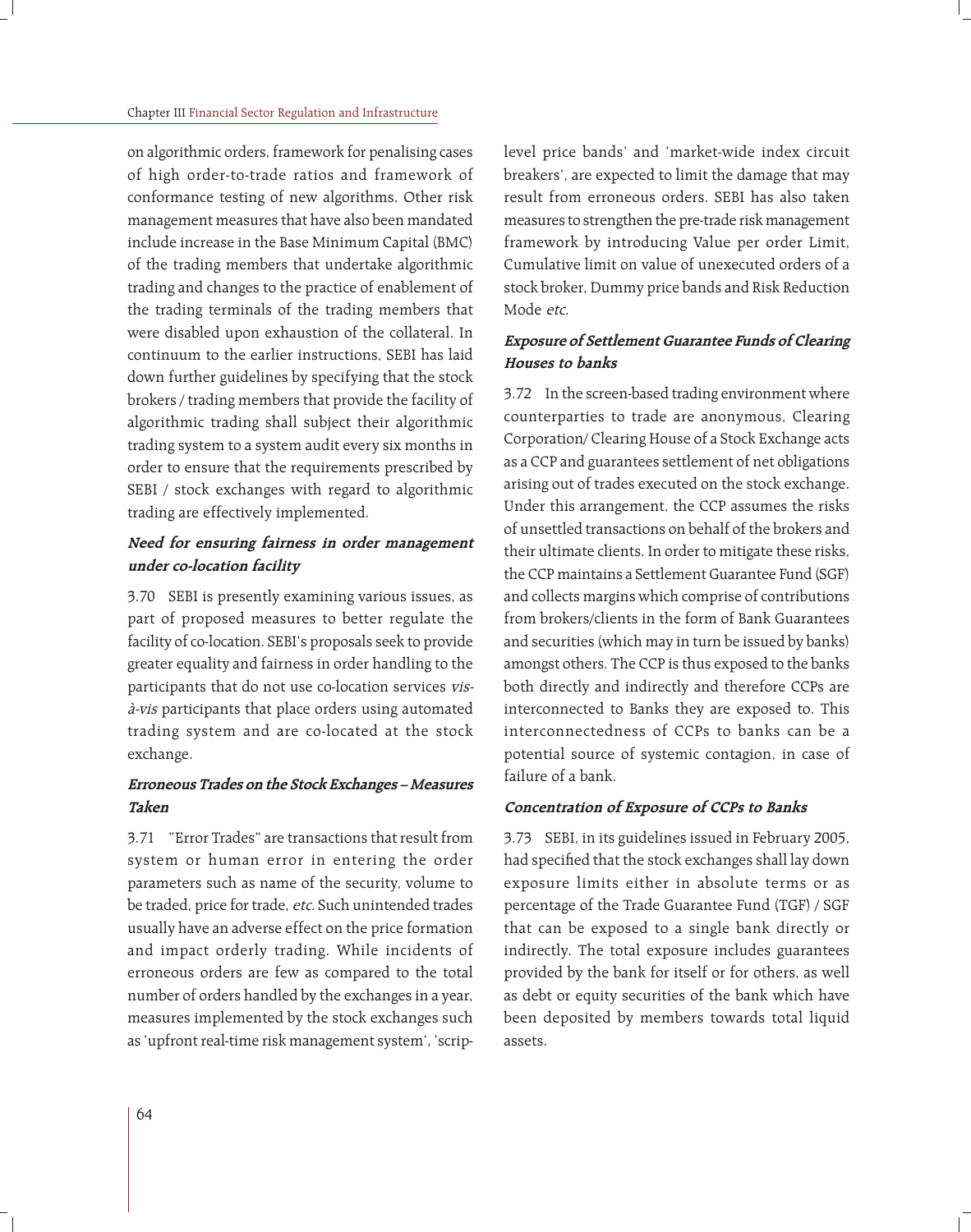on algorithmic orders, framework for penalising cases of high order-to-trade ratios and framework of conformance testing of new algorithms. Other risk management measures that have also been mandated include increase in the Base Minimum Capital (BMC) of the trading members that undertake algorithmic trading and changes to the practice of enablement of the trading terminals of the trading members that were disabled upon exhaustion of the collateral. In continuum to the earlier instructions, SEBI has laid down further guidelines by specifying that the stock brokers / trading members that provide the facility of algorithmic trading shall subject their algorithmic trading system to a system audit every six months in order to ensure that the requirements prescribed by SEBI / stock exchanges with regard to algorithmic trading are effectively implemented.

## **Need for ensuring fairness in order management under co-location facility**

3.70 SEBI is presently examining various issues, as part of proposed measures to better regulate the facility of co-location. SEBI's proposals seek to provide greater equality and fairness in order handling to the participants that do not use co-location services visà-vis participants that place orders using automated trading system and are co-located at the stock exchange.

## **Erroneous Trades on the Stock Exchanges – Measures Taken**

3.71 "Error Trades" are transactions that result from system or human error in entering the order parameters such as name of the security, volume to be traded, price for trade, etc. Such unintended trades usually have an adverse effect on the price formation and impact orderly trading. While incidents of erroneous orders are few as compared to the total number of orders handled by the exchanges in a year, measures implemented by the stock exchanges such as 'upfront real-time risk management system', 'scriplevel price bands' and 'market-wide index circuit breakers', are expected to limit the damage that may result from erroneous orders. SEBI has also taken measures to strengthen the pre-trade risk management framework by introducing Value per order Limit, Cumulative limit on value of unexecuted orders of a stock broker, Dummy price bands and Risk Reduction Mode etc.

## **Exposure of Settlement Guarantee Funds of Clearing Houses to banks**

3.72 In the screen-based trading environment where counterparties to trade are anonymous, Clearing Corporation/ Clearing House of a Stock Exchange acts as a CCP and guarantees settlement of net obligations arising out of trades executed on the stock exchange. Under this arrangement, the CCP assumes the risks of unsettled transactions on behalf of the brokers and their ultimate clients. In order to mitigate these risks, the CCP maintains a Settlement Guarantee Fund (SGF) and collects margins which comprise of contributions from brokers/clients in the form of Bank Guarantees and securities (which may in turn be issued by banks) amongst others. The CCP is thus exposed to the banks both directly and indirectly and therefore CCPs are interconnected to Banks they are exposed to. This interconnectedness of CCPs to banks can be a potential source of systemic contagion, in case of failure of a bank.

### **Concentration of Exposure of CCPs to Banks**

3.73 SEBI, in its guidelines issued in February 2005, had specified that the stock exchanges shall lay down exposure limits either in absolute terms or as percentage of the Trade Guarantee Fund (TGF) / SGF that can be exposed to a single bank directly or indirectly. The total exposure includes guarantees provided by the bank for itself or for others, as well as debt or equity securities of the bank which have been deposited by members towards total liquid assets.